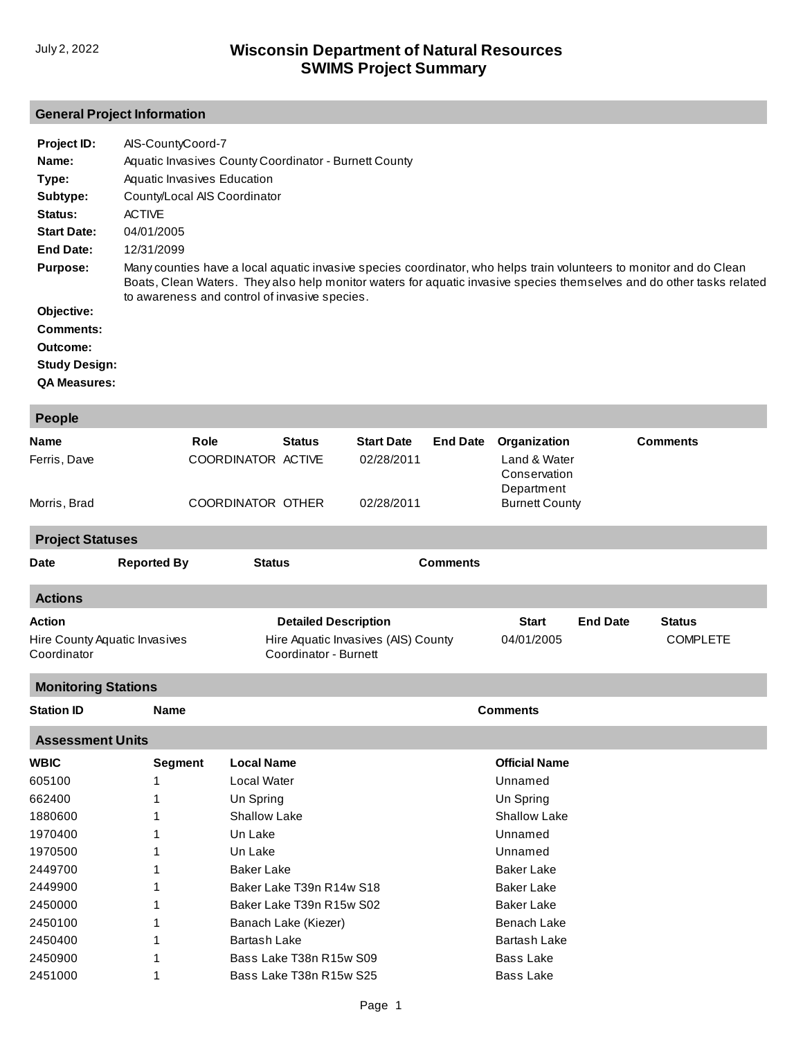# **General Project Information**

| Project ID:          | AIS-CountyCoord-7                                                                                                                                                                                                                                                                             |
|----------------------|-----------------------------------------------------------------------------------------------------------------------------------------------------------------------------------------------------------------------------------------------------------------------------------------------|
| Name:                | Aquatic Invasives County Coordinator - Burnett County                                                                                                                                                                                                                                         |
| Type:                | Aquatic Invasives Education                                                                                                                                                                                                                                                                   |
| Subtype:             | County/Local AIS Coordinator                                                                                                                                                                                                                                                                  |
| <b>Status:</b>       | <b>ACTIVE</b>                                                                                                                                                                                                                                                                                 |
| <b>Start Date:</b>   | 04/01/2005                                                                                                                                                                                                                                                                                    |
| End Date:            | 12/31/2099                                                                                                                                                                                                                                                                                    |
| <b>Purpose:</b>      | Many counties have a local aguatic invasive species coordinator, who helps train volunteers to monitor and do Clean<br>Boats, Clean Waters. They also help monitor waters for aquatic invasive species themselves and do other tasks related<br>to awareness and control of invasive species. |
| Objective:           |                                                                                                                                                                                                                                                                                               |
| Comments:            |                                                                                                                                                                                                                                                                                               |
| Outcome:             |                                                                                                                                                                                                                                                                                               |
| <b>Study Design:</b> |                                                                                                                                                                                                                                                                                               |

**QA Measures:**

| People                     |                               |                     |                          |                                     |                 |                                            |                 |                 |  |
|----------------------------|-------------------------------|---------------------|--------------------------|-------------------------------------|-----------------|--------------------------------------------|-----------------|-----------------|--|
| Name                       |                               | Role                | <b>Status</b>            | <b>Start Date</b>                   | <b>End Date</b> | Organization                               |                 | <b>Comments</b> |  |
| Ferris, Dave               |                               | COORDINATOR ACTIVE  |                          | 02/28/2011                          |                 | Land & Water<br>Conservation<br>Department |                 |                 |  |
| Morris, Brad               |                               | COORDINATOR OTHER   |                          | 02/28/2011                          |                 | <b>Burnett County</b>                      |                 |                 |  |
| <b>Project Statuses</b>    |                               |                     |                          |                                     |                 |                                            |                 |                 |  |
| <b>Date</b>                | <b>Reported By</b>            | <b>Status</b>       |                          |                                     | <b>Comments</b> |                                            |                 |                 |  |
| <b>Actions</b>             |                               |                     |                          |                                     |                 |                                            |                 |                 |  |
| <b>Action</b>              |                               |                     |                          | <b>Detailed Description</b>         |                 | <b>Start</b>                               | <b>End Date</b> | <b>Status</b>   |  |
| Coordinator                | Hire County Aquatic Invasives |                     | Coordinator - Burnett    | Hire Aquatic Invasives (AIS) County |                 | 04/01/2005                                 |                 | <b>COMPLETE</b> |  |
| <b>Monitoring Stations</b> |                               |                     |                          |                                     |                 |                                            |                 |                 |  |
| <b>Station ID</b>          | <b>Name</b>                   |                     |                          |                                     |                 | <b>Comments</b>                            |                 |                 |  |
| <b>Assessment Units</b>    |                               |                     |                          |                                     |                 |                                            |                 |                 |  |
| <b>WBIC</b>                | <b>Segment</b>                | <b>Local Name</b>   |                          |                                     |                 | <b>Official Name</b>                       |                 |                 |  |
| 605100                     | 1                             | Local Water         |                          |                                     |                 | Unnamed                                    |                 |                 |  |
| 662400                     | 1                             | Un Spring           |                          |                                     |                 | Un Spring                                  |                 |                 |  |
| 1880600                    | 1                             | Shallow Lake        |                          |                                     |                 | Shallow Lake                               |                 |                 |  |
| 1970400                    | 1                             | Un Lake             |                          |                                     |                 | Unnamed                                    |                 |                 |  |
| 1970500                    | 1                             | Un Lake             |                          |                                     |                 | Unnamed                                    |                 |                 |  |
| 2449700                    | 1                             | <b>Baker Lake</b>   |                          |                                     |                 | <b>Baker Lake</b>                          |                 |                 |  |
| 2449900                    | 1                             |                     | Baker Lake T39n R14w S18 |                                     |                 | <b>Baker Lake</b>                          |                 |                 |  |
| 2450000                    | 1                             |                     | Baker Lake T39n R15w S02 |                                     |                 | <b>Baker Lake</b>                          |                 |                 |  |
| 2450100                    | 1                             |                     | Banach Lake (Kiezer)     |                                     |                 | <b>Benach Lake</b>                         |                 |                 |  |
| 2450400                    | 1                             | <b>Bartash Lake</b> |                          |                                     |                 | <b>Bartash Lake</b>                        |                 |                 |  |
| 2450900                    | 1                             |                     | Bass Lake T38n R15w S09  |                                     |                 | <b>Bass Lake</b>                           |                 |                 |  |
| 2451000                    | 1                             |                     | Bass Lake T38n R15w S25  |                                     |                 | <b>Bass Lake</b>                           |                 |                 |  |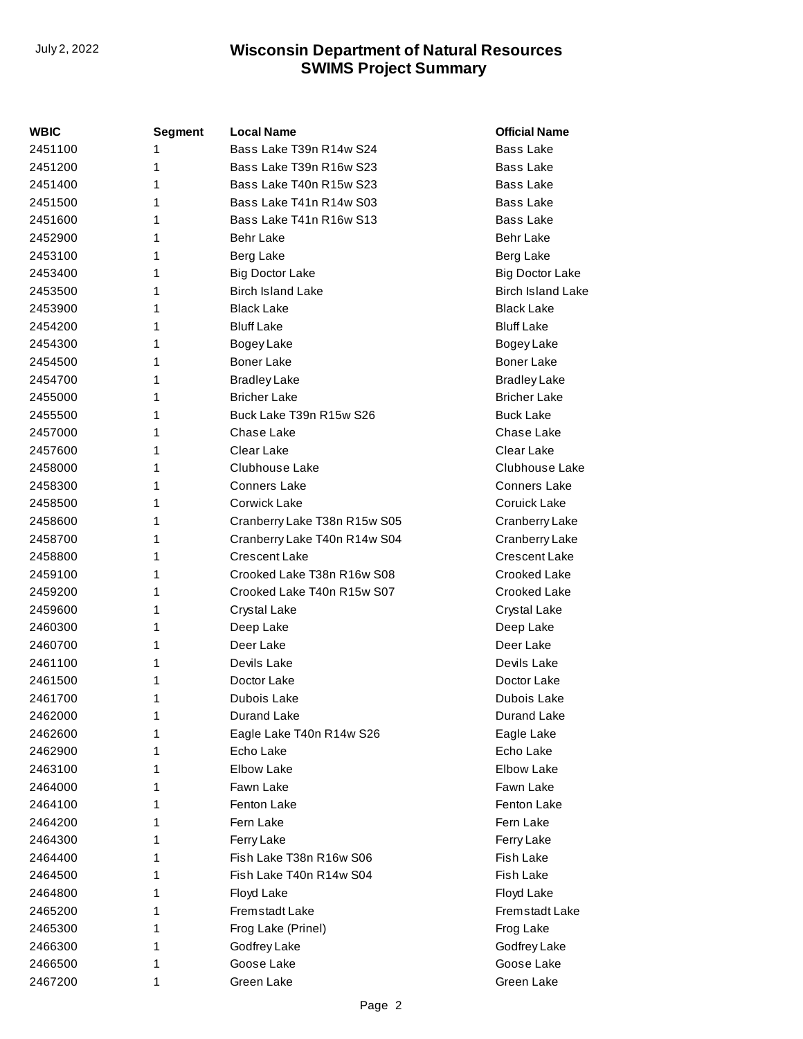| WBIC    | <b>Segment</b> | <b>Local Name</b>            | <b>Official Name</b>     |
|---------|----------------|------------------------------|--------------------------|
| 2451100 | 1              | Bass Lake T39n R14w S24      | <b>Bass Lake</b>         |
| 2451200 | 1              | Bass Lake T39n R16w S23      | <b>Bass Lake</b>         |
| 2451400 | 1              | Bass Lake T40n R15w S23      | <b>Bass Lake</b>         |
| 2451500 | 1              | Bass Lake T41n R14w S03      | <b>Bass Lake</b>         |
| 2451600 | 1              | Bass Lake T41n R16w S13      | <b>Bass Lake</b>         |
| 2452900 | 1              | Behr Lake                    | <b>Behr Lake</b>         |
| 2453100 | 1              | Berg Lake                    | Berg Lake                |
| 2453400 | 1              | <b>Big Doctor Lake</b>       | <b>Big Doctor Lake</b>   |
| 2453500 | 1              | <b>Birch Island Lake</b>     | <b>Birch Island Lake</b> |
| 2453900 | 1              | <b>Black Lake</b>            | <b>Black Lake</b>        |
| 2454200 | 1              | <b>Bluff Lake</b>            | <b>Bluff Lake</b>        |
| 2454300 | 1              | Bogey Lake                   | Bogey Lake               |
| 2454500 | 1              | <b>Boner Lake</b>            | <b>Boner Lake</b>        |
| 2454700 | 1              | <b>Bradley Lake</b>          | <b>Bradley Lake</b>      |
| 2455000 | 1              | <b>Bricher Lake</b>          | <b>Bricher Lake</b>      |
| 2455500 | 1              | Buck Lake T39n R15w S26      | <b>Buck Lake</b>         |
| 2457000 | 1              | Chase Lake                   | Chase Lake               |
| 2457600 | 1              | Clear Lake                   | Clear Lake               |
| 2458000 | 1              | Clubhouse Lake               | Clubhouse Lake           |
| 2458300 | 1              | <b>Conners Lake</b>          | Conners Lake             |
| 2458500 | 1              | Corwick Lake                 | Coruick Lake             |
| 2458600 | 1              | Cranberry Lake T38n R15w S05 | Cranberry Lake           |
| 2458700 | 1              | Cranberry Lake T40n R14w S04 | Cranberry Lake           |
| 2458800 | 1              | Crescent Lake                | <b>Crescent Lake</b>     |
| 2459100 | 1              | Crooked Lake T38n R16w S08   | Crooked Lake             |
| 2459200 | 1              | Crooked Lake T40n R15w S07   | Crooked Lake             |
| 2459600 | 1              | Crystal Lake                 | Crystal Lake             |
| 2460300 | 1              | Deep Lake                    | Deep Lake                |
| 2460700 | 1              | Deer Lake                    | Deer Lake                |
| 2461100 | 1              | Devils Lake                  | Devils Lake              |
| 2461500 | 1              | Doctor Lake                  | Doctor Lake              |
| 2461700 | 1              | Dubois Lake                  | Dubois Lake              |
| 2462000 | 1              | Durand Lake                  | Durand Lake              |
| 2462600 | 1              | Eagle Lake T40n R14w S26     | Eagle Lake               |
| 2462900 | 1              | Echo Lake                    | Echo Lake                |
| 2463100 | 1              | <b>Elbow Lake</b>            | Elbow Lake               |
| 2464000 | 1              | Fawn Lake                    | Fawn Lake                |
| 2464100 | 1              | Fenton Lake                  | Fenton Lake              |
| 2464200 | 1              | Fern Lake                    | Fern Lake                |
| 2464300 | 1              | Ferry Lake                   | Ferry Lake               |
| 2464400 | 1              | Fish Lake T38n R16w S06      | Fish Lake                |
| 2464500 | 1              | Fish Lake T40n R14w S04      | Fish Lake                |
| 2464800 | 1              | Floyd Lake                   | Floyd Lake               |
| 2465200 | 1              | Fremstadt Lake               | Fremstadt Lake           |
| 2465300 | 1              | Frog Lake (Prinel)           | Frog Lake                |
| 2466300 | 1              | Godfrey Lake                 | Godfrey Lake             |
| 2466500 | 1              | Goose Lake                   | Goose Lake               |
| 2467200 | 1              | Green Lake                   | Green Lake               |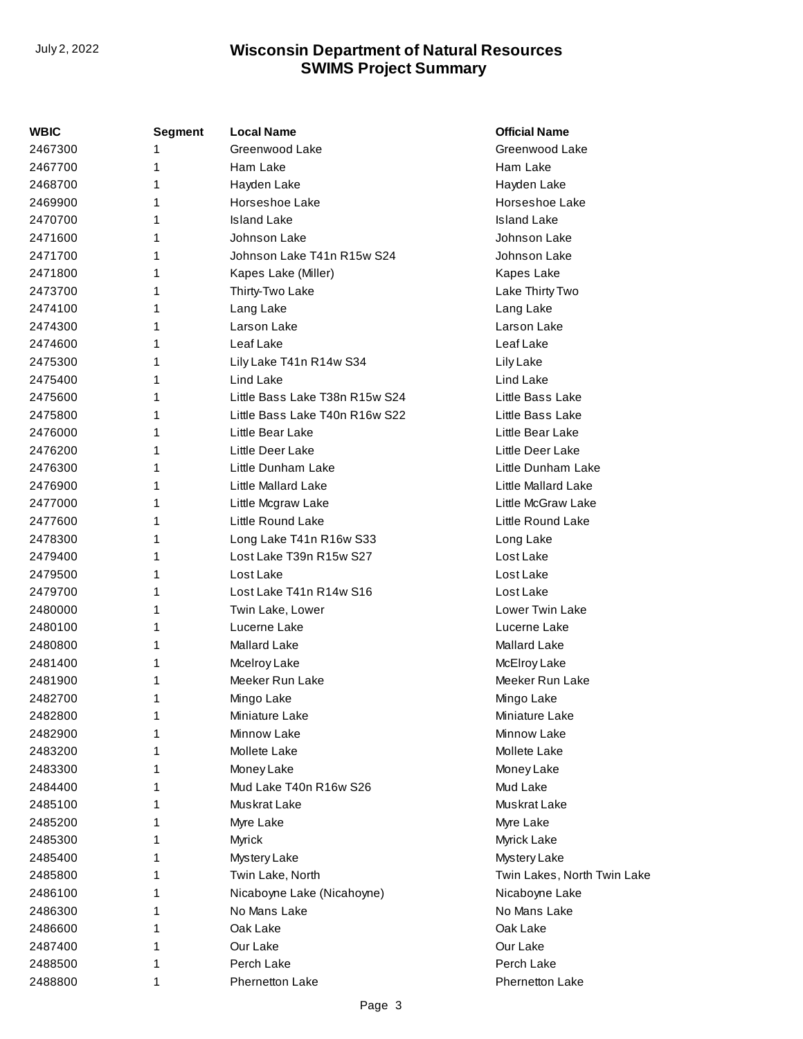| WBIC    | <b>Segment</b> | <b>Local Name</b>              | <b>Official Name</b>        |
|---------|----------------|--------------------------------|-----------------------------|
| 2467300 | 1              | Greenwood Lake                 | Greenwood Lake              |
| 2467700 | 1              | Ham Lake                       | Ham Lake                    |
| 2468700 | 1              | Hayden Lake                    | Hayden Lake                 |
| 2469900 | 1              | Horseshoe Lake                 | Horseshoe Lake              |
| 2470700 | 1              | <b>Island Lake</b>             | <b>Island Lake</b>          |
| 2471600 | 1              | Johnson Lake                   | Johnson Lake                |
| 2471700 | 1              | Johnson Lake T41n R15w S24     | Johnson Lake                |
| 2471800 | 1              | Kapes Lake (Miller)            | Kapes Lake                  |
| 2473700 | 1              | Thirty-Two Lake                | Lake Thirty Two             |
| 2474100 | 1              | Lang Lake                      | Lang Lake                   |
| 2474300 | 1              | Larson Lake                    | Larson Lake                 |
| 2474600 | 1              | Leaf Lake                      | Leaf Lake                   |
| 2475300 | 1              | Lily Lake T41n R14w S34        | Lily Lake                   |
| 2475400 | 1              | Lind Lake                      | Lind Lake                   |
| 2475600 | 1              | Little Bass Lake T38n R15w S24 | Little Bass Lake            |
| 2475800 | 1              | Little Bass Lake T40n R16w S22 | Little Bass Lake            |
| 2476000 | 1              | Little Bear Lake               | Little Bear Lake            |
| 2476200 | 1              | Little Deer Lake               | Little Deer Lake            |
| 2476300 | 1              | Little Dunham Lake             | Little Dunham Lake          |
| 2476900 | 1              | Little Mallard Lake            | Little Mallard Lake         |
| 2477000 | 1              | Little Mcgraw Lake             | Little McGraw Lake          |
| 2477600 | 1              | Little Round Lake              | Little Round Lake           |
| 2478300 | 1              | Long Lake T41n R16w S33        | Long Lake                   |
| 2479400 | 1              | Lost Lake T39n R15w S27        | Lost Lake                   |
| 2479500 | 1              | Lost Lake                      | Lost Lake                   |
| 2479700 | 1              | Lost Lake T41n R14w S16        | Lost Lake                   |
| 2480000 | 1              | Twin Lake, Lower               | <b>Lower Twin Lake</b>      |
| 2480100 | 1              | Lucerne Lake                   | Lucerne Lake                |
| 2480800 | 1              | Mallard Lake                   | Mallard Lake                |
| 2481400 | 1              | Mcelroy Lake                   | McElroy Lake                |
| 2481900 | 1              | Meeker Run Lake                | Meeker Run Lake             |
| 2482700 | 1              | Mingo Lake                     | Mingo Lake                  |
| 2482800 | 1              | Miniature Lake                 | Miniature Lake              |
| 2482900 |                | Minnow Lake                    | Minnow Lake                 |
| 2483200 |                | Mollete Lake                   | Mollete Lake                |
| 2483300 |                | Money Lake                     | Money Lake                  |
| 2484400 | 1              | Mud Lake T40n R16w S26         | Mud Lake                    |
| 2485100 | 1              | Muskrat Lake                   | Muskrat Lake                |
| 2485200 | 1              | Myre Lake                      | Myre Lake                   |
| 2485300 | 1              | Myrick                         | Myrick Lake                 |
| 2485400 | 1              | Mystery Lake                   | Mystery Lake                |
| 2485800 | 1              | Twin Lake, North               | Twin Lakes, North Twin Lake |
| 2486100 | 1              | Nicaboyne Lake (Nicahoyne)     | Nicaboyne Lake              |
| 2486300 | 1              | No Mans Lake                   | No Mans Lake                |
| 2486600 | 1              | Oak Lake                       | Oak Lake                    |
| 2487400 | 1              | Our Lake                       | Our Lake                    |
| 2488500 | 1              | Perch Lake                     | Perch Lake                  |
| 2488800 | 1              | <b>Phernetton Lake</b>         | <b>Phernetton Lake</b>      |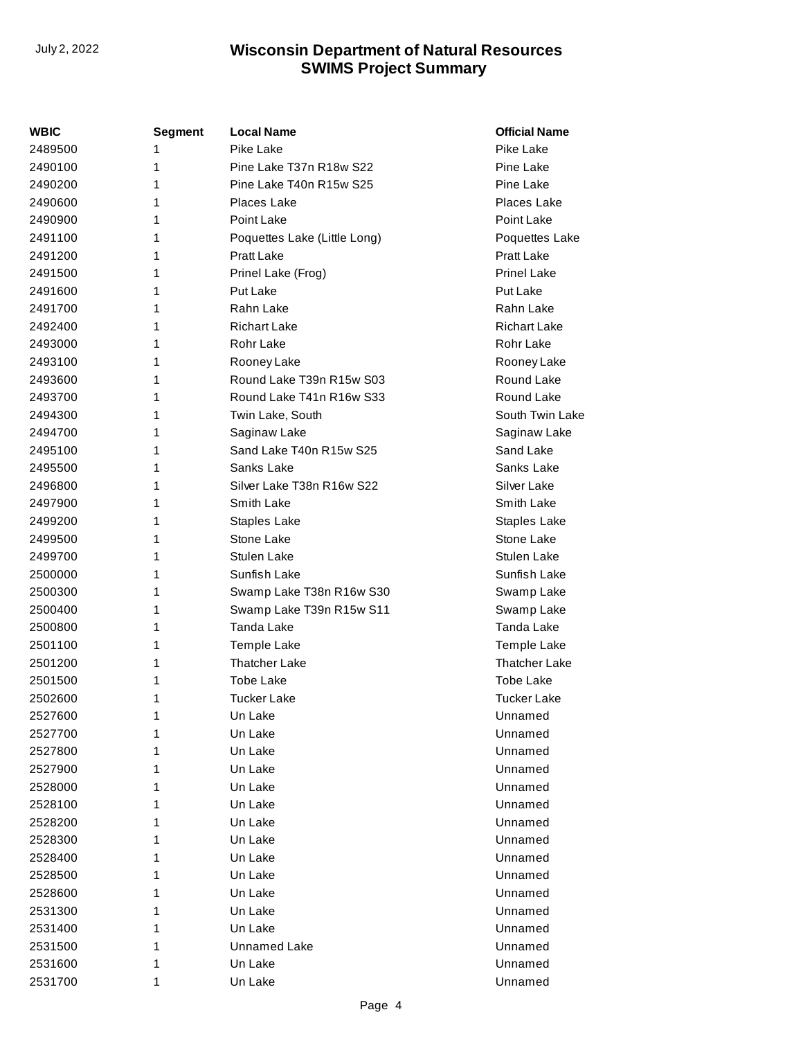| WBIC    | <b>Segment</b> | <b>Local Name</b>            | <b>Official Name</b> |
|---------|----------------|------------------------------|----------------------|
| 2489500 | 1              | Pike Lake                    | Pike Lake            |
| 2490100 | 1              | Pine Lake T37n R18w S22      | Pine Lake            |
| 2490200 | 1              | Pine Lake T40n R15w S25      | Pine Lake            |
| 2490600 | 1              | Places Lake                  | Places Lake          |
| 2490900 | 1              | Point Lake                   | Point Lake           |
| 2491100 | 1              | Poquettes Lake (Little Long) | Poquettes Lake       |
| 2491200 | 1              | Pratt Lake                   | <b>Pratt Lake</b>    |
| 2491500 | 1              | Prinel Lake (Frog)           | <b>Prinel Lake</b>   |
| 2491600 | 1              | <b>Put Lake</b>              | <b>Put Lake</b>      |
| 2491700 | 1              | Rahn Lake                    | Rahn Lake            |
| 2492400 | 1              | <b>Richart Lake</b>          | <b>Richart Lake</b>  |
| 2493000 | 1              | Rohr Lake                    | Rohr Lake            |
| 2493100 | 1              | Rooney Lake                  | Rooney Lake          |
| 2493600 | 1              | Round Lake T39n R15w S03     | Round Lake           |
| 2493700 | 1              | Round Lake T41n R16w S33     | Round Lake           |
| 2494300 | 1              | Twin Lake, South             | South Twin Lake      |
| 2494700 | 1              | Saginaw Lake                 | Saginaw Lake         |
| 2495100 | 1              | Sand Lake T40n R15w S25      | Sand Lake            |
| 2495500 | 1              | Sanks Lake                   | Sanks Lake           |
| 2496800 | 1              | Silver Lake T38n R16w S22    | Silver Lake          |
| 2497900 | 1              | Smith Lake                   | Smith Lake           |
| 2499200 | 1              | Staples Lake                 | Staples Lake         |
| 2499500 | 1              | Stone Lake                   | Stone Lake           |
| 2499700 | 1              | Stulen Lake                  | Stulen Lake          |
| 2500000 | 1              | Sunfish Lake                 | Sunfish Lake         |
| 2500300 | 1              | Swamp Lake T38n R16w S30     | Swamp Lake           |
| 2500400 | 1              | Swamp Lake T39n R15w S11     | Swamp Lake           |
| 2500800 | 1              | Tanda Lake                   | Tanda Lake           |
| 2501100 | 1              | Temple Lake                  | Temple Lake          |
| 2501200 | 1              | <b>Thatcher Lake</b>         | <b>Thatcher Lake</b> |
| 2501500 | 1              | <b>Tobe Lake</b>             | <b>Tobe Lake</b>     |
| 2502600 | 1              | <b>Tucker Lake</b>           | <b>Tucker Lake</b>   |
| 2527600 | 1              | Un Lake                      | Unnamed              |
| 2527700 | 1              | Un Lake                      | Unnamed              |
| 2527800 | 1              | Un Lake                      | Unnamed              |
| 2527900 | 1              | Un Lake                      | Unnamed              |
| 2528000 | 1              | Un Lake                      | Unnamed              |
| 2528100 | 1              | Un Lake                      | Unnamed              |
| 2528200 | 1              | Un Lake                      | Unnamed              |
| 2528300 | 1              | Un Lake                      | Unnamed              |
| 2528400 | 1              | Un Lake                      | Unnamed              |
| 2528500 | 1              | Un Lake                      | Unnamed              |
| 2528600 | 1              | Un Lake                      | Unnamed              |
| 2531300 | 1              | Un Lake                      | Unnamed              |
| 2531400 | 1              | Un Lake                      | Unnamed              |
| 2531500 | 1              | Unnamed Lake                 | Unnamed              |
| 2531600 | 1              | Un Lake                      | Unnamed              |
| 2531700 | 1              | Un Lake                      | Unnamed              |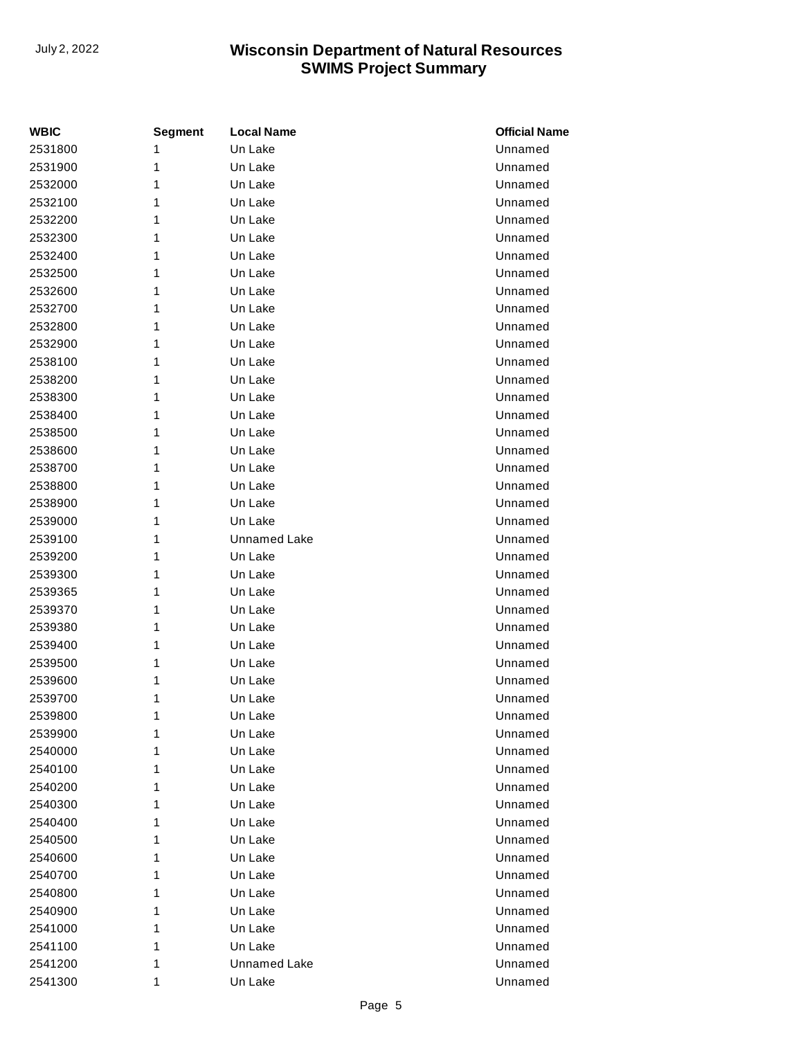| <b>WBIC</b> | <b>Segment</b> | <b>Local Name</b>   | <b>Official Name</b> |
|-------------|----------------|---------------------|----------------------|
| 2531800     | 1              | Un Lake             | Unnamed              |
| 2531900     | 1              | Un Lake             | Unnamed              |
| 2532000     | 1              | Un Lake             | Unnamed              |
| 2532100     | 1              | Un Lake             | Unnamed              |
| 2532200     | 1              | Un Lake             | Unnamed              |
| 2532300     | 1              | Un Lake             | Unnamed              |
| 2532400     | 1              | Un Lake             | Unnamed              |
| 2532500     | 1              | Un Lake             | Unnamed              |
| 2532600     | 1              | Un Lake             | Unnamed              |
| 2532700     | 1              | Un Lake             | Unnamed              |
| 2532800     | 1              | Un Lake             | Unnamed              |
| 2532900     | 1              | Un Lake             | Unnamed              |
| 2538100     | 1              | Un Lake             | Unnamed              |
| 2538200     | 1              | Un Lake             | Unnamed              |
| 2538300     | 1              | Un Lake             | Unnamed              |
| 2538400     | 1              | Un Lake             | Unnamed              |
| 2538500     | 1              | Un Lake             | Unnamed              |
| 2538600     | 1              | Un Lake             | Unnamed              |
| 2538700     | 1              | Un Lake             | Unnamed              |
| 2538800     | 1              | Un Lake             | Unnamed              |
| 2538900     | 1              | Un Lake             | Unnamed              |
| 2539000     | 1              | Un Lake             | Unnamed              |
| 2539100     | 1              | <b>Unnamed Lake</b> | Unnamed              |
| 2539200     | 1              | Un Lake             | Unnamed              |
| 2539300     | 1              | Un Lake             | Unnamed              |
| 2539365     | 1              | Un Lake             | Unnamed              |
| 2539370     | 1              | Un Lake             | Unnamed              |
| 2539380     | 1              | Un Lake             | Unnamed              |
| 2539400     | 1              | Un Lake             | Unnamed              |
| 2539500     | 1              | Un Lake             | Unnamed              |
| 2539600     | 1              | Un Lake             | Unnamed              |
| 2539700     | 1              | Un Lake             | Unnamed              |
| 2539800     | 1              | Un Lake             | Unnamed              |
| 2539900     | 1              | Un Lake             | Unnamed              |
| 2540000     | 1              | Un Lake             | Unnamed              |
| 2540100     | 1              | Un Lake             | Unnamed              |
| 2540200     | 1              | Un Lake             | Unnamed              |
| 2540300     | 1              | Un Lake             | Unnamed              |
| 2540400     | 1              | Un Lake             | Unnamed              |
| 2540500     | 1              | Un Lake             | Unnamed              |
| 2540600     | 1              | Un Lake             | Unnamed              |
| 2540700     | 1              | Un Lake             | Unnamed              |
| 2540800     | 1              | Un Lake             | Unnamed              |
| 2540900     | 1              | Un Lake             | Unnamed              |
| 2541000     | 1              | Un Lake             | Unnamed              |
| 2541100     | 1              | Un Lake             | Unnamed              |
| 2541200     | 1              | Unnamed Lake        | Unnamed              |
| 2541300     | 1              | Un Lake             | Unnamed              |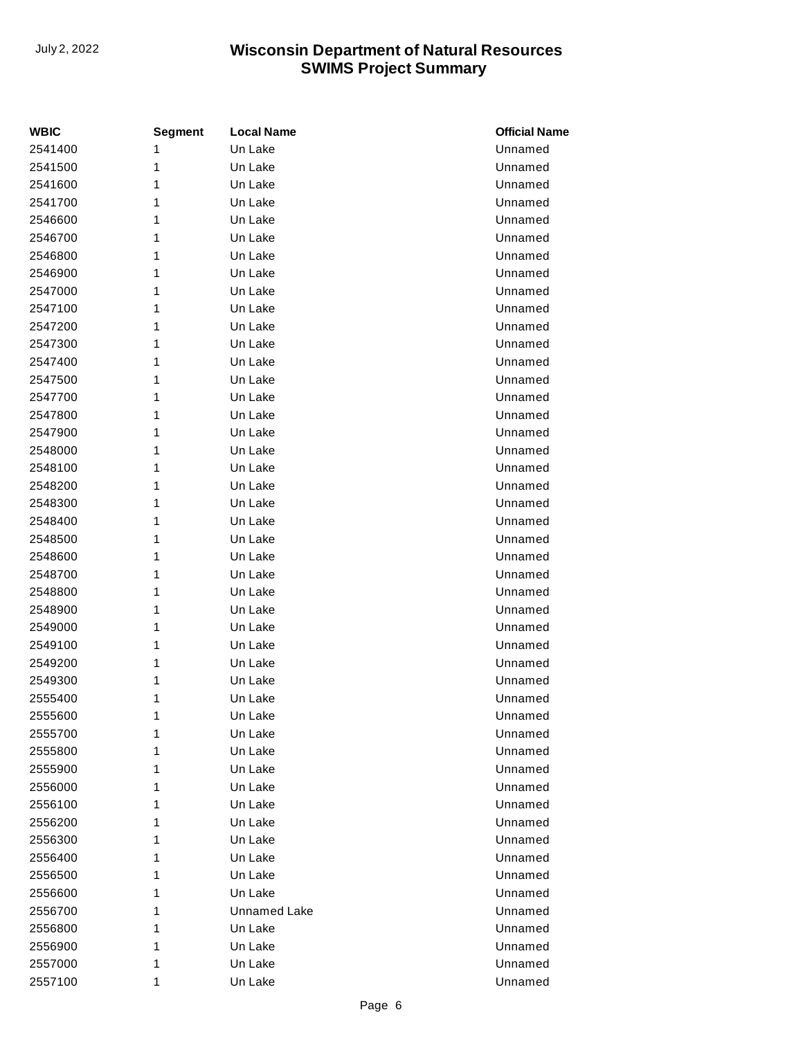| <b>WBIC</b> | <b>Segment</b> | <b>Local Name</b> | <b>Official Name</b> |
|-------------|----------------|-------------------|----------------------|
| 2541400     | 1              | Un Lake           | Unnamed              |
| 2541500     | 1              | Un Lake           | Unnamed              |
| 2541600     | 1              | Un Lake           | Unnamed              |
| 2541700     | 1              | Un Lake           | Unnamed              |
| 2546600     | 1              | Un Lake           | Unnamed              |
| 2546700     | 1              | Un Lake           | Unnamed              |
| 2546800     | 1              | Un Lake           | Unnamed              |
| 2546900     | 1              | Un Lake           | Unnamed              |
| 2547000     | 1              | Un Lake           | Unnamed              |
| 2547100     | 1              | Un Lake           | Unnamed              |
| 2547200     | 1              | Un Lake           | Unnamed              |
| 2547300     | 1              | Un Lake           | Unnamed              |
| 2547400     | 1              | Un Lake           | Unnamed              |
| 2547500     | 1              | Un Lake           | Unnamed              |
| 2547700     | 1              | Un Lake           | Unnamed              |
| 2547800     | 1              | Un Lake           | Unnamed              |
| 2547900     | 1              | Un Lake           | Unnamed              |
| 2548000     | 1              | Un Lake           | Unnamed              |
| 2548100     | 1              | Un Lake           | Unnamed              |
| 2548200     | 1              | Un Lake           | Unnamed              |
| 2548300     | 1              | Un Lake           | Unnamed              |
| 2548400     | 1              | Un Lake           | Unnamed              |
| 2548500     | 1              | Un Lake           | Unnamed              |
| 2548600     | 1              | Un Lake           | Unnamed              |
| 2548700     | 1              | Un Lake           | Unnamed              |
| 2548800     | 1              | Un Lake           | Unnamed              |
| 2548900     | 1              | Un Lake           | Unnamed              |
| 2549000     | 1              | Un Lake           | Unnamed              |
| 2549100     | 1              | Un Lake           | Unnamed              |
| 2549200     | 1              | Un Lake           | Unnamed              |
| 2549300     | 1              | Un Lake           | Unnamed              |
| 2555400     | 1              | Un Lake           | Unnamed              |
| 2555600     | 1              | Un Lake           | Unnamed              |
| 2555700     | 1              | Un Lake           | Unnamed              |
| 2555800     | 1              | Un Lake           | Unnamed              |
| 2555900     | 1              | Un Lake           | Unnamed              |
| 2556000     | 1              | Un Lake           | Unnamed              |
| 2556100     | 1              | Un Lake           | Unnamed              |
| 2556200     | 1              | Un Lake           | Unnamed              |
| 2556300     | 1              | Un Lake           | Unnamed              |
| 2556400     | 1              | Un Lake           | Unnamed              |
| 2556500     | 1              | Un Lake           | Unnamed              |
| 2556600     | 1              | Un Lake           | Unnamed              |
| 2556700     | 1              | Unnamed Lake      | Unnamed              |
| 2556800     | 1              | Un Lake           | Unnamed              |
| 2556900     | 1              | Un Lake           | Unnamed              |
| 2557000     | 1              | Un Lake           | Unnamed              |
| 2557100     | 1              | Un Lake           | Unnamed              |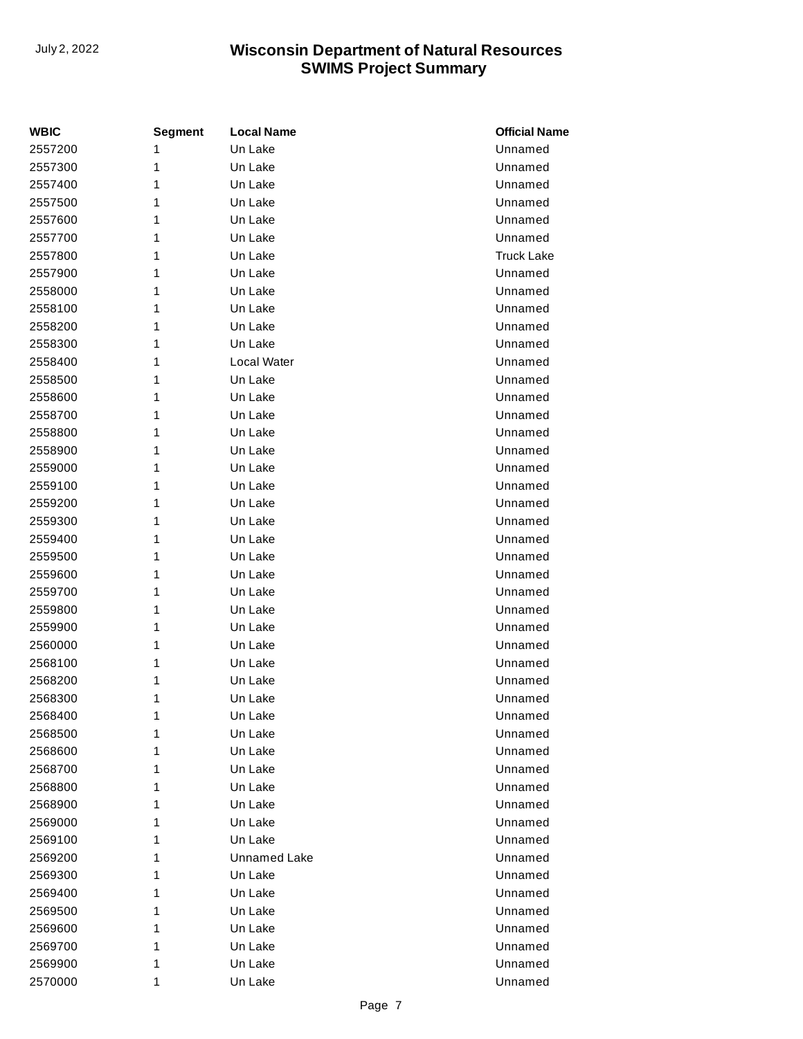| <b>WBIC</b> | <b>Segment</b> | <b>Local Name</b> | <b>Official Name</b> |
|-------------|----------------|-------------------|----------------------|
| 2557200     | 1              | Un Lake           | Unnamed              |
| 2557300     | 1              | Un Lake           | Unnamed              |
| 2557400     | 1              | Un Lake           | Unnamed              |
| 2557500     | 1              | Un Lake           | Unnamed              |
| 2557600     | 1              | Un Lake           | Unnamed              |
| 2557700     | 1              | Un Lake           | Unnamed              |
| 2557800     | 1              | Un Lake           | <b>Truck Lake</b>    |
| 2557900     | 1              | Un Lake           | Unnamed              |
| 2558000     | 1              | Un Lake           | Unnamed              |
| 2558100     | 1              | Un Lake           | Unnamed              |
| 2558200     | 1              | Un Lake           | Unnamed              |
| 2558300     | 1              | Un Lake           | Unnamed              |
| 2558400     | 1              | Local Water       | Unnamed              |
| 2558500     | 1              | Un Lake           | Unnamed              |
| 2558600     | 1              | Un Lake           | Unnamed              |
| 2558700     | 1              | Un Lake           | Unnamed              |
| 2558800     | 1              | Un Lake           | Unnamed              |
| 2558900     | 1              | Un Lake           | Unnamed              |
| 2559000     | 1              | Un Lake           | Unnamed              |
| 2559100     | 1              | Un Lake           | Unnamed              |
| 2559200     | 1              | Un Lake           | Unnamed              |
| 2559300     | 1              | Un Lake           | Unnamed              |
| 2559400     | 1              | Un Lake           | Unnamed              |
| 2559500     | 1              | Un Lake           | Unnamed              |
| 2559600     | 1              | Un Lake           | Unnamed              |
| 2559700     | 1              | Un Lake           | Unnamed              |
| 2559800     | 1              | Un Lake           | Unnamed              |
| 2559900     | 1              | Un Lake           | Unnamed              |
| 2560000     | 1              | Un Lake           | Unnamed              |
| 2568100     | 1              | Un Lake           | Unnamed              |
| 2568200     | 1              | Un Lake           | Unnamed              |
| 2568300     | 1              | Un Lake           | Unnamed              |
| 2568400     | 1              | Un Lake           | Unnamed              |
| 2568500     | 1              | Un Lake           | Unnamed              |
| 2568600     | 1              | Un Lake           | Unnamed              |
| 2568700     | 1              | Un Lake           | Unnamed              |
| 2568800     | 1              | Un Lake           | Unnamed              |
| 2568900     | 1              | Un Lake           | Unnamed              |
| 2569000     | 1              | Un Lake           | Unnamed              |
| 2569100     | 1              | Un Lake           | Unnamed              |
| 2569200     | 1              | Unnamed Lake      | Unnamed              |
| 2569300     | 1              | Un Lake           | Unnamed              |
| 2569400     | 1              | Un Lake           | Unnamed              |
| 2569500     | 1              | Un Lake           | Unnamed              |
| 2569600     | 1              | Un Lake           | Unnamed              |
| 2569700     | 1              | Un Lake           | Unnamed              |
| 2569900     | 1              | Un Lake           | Unnamed              |
| 2570000     | 1              | Un Lake           | Unnamed              |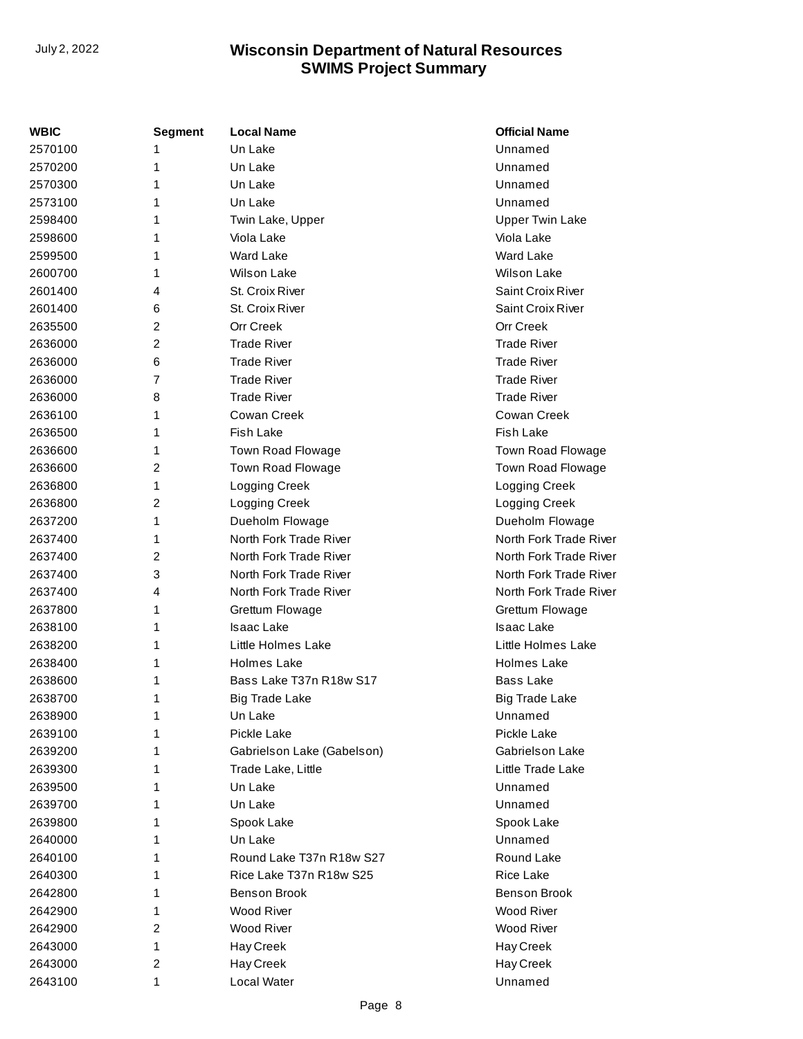| WBIC    | <b>Segment</b> | <b>Local Name</b>          | <b>Official Name</b>   |
|---------|----------------|----------------------------|------------------------|
| 2570100 | 1              | Un Lake                    | Unnamed                |
| 2570200 | 1              | Un Lake                    | Unnamed                |
| 2570300 | 1              | Un Lake                    | Unnamed                |
| 2573100 | 1              | Un Lake                    | Unnamed                |
| 2598400 | 1              | Twin Lake, Upper           | <b>Upper Twin Lake</b> |
| 2598600 | 1              | Viola Lake                 | Viola Lake             |
| 2599500 | 1              | <b>Ward Lake</b>           | Ward Lake              |
| 2600700 | 1              | <b>Wilson Lake</b>         | <b>Wilson Lake</b>     |
| 2601400 | 4              | St. Croix River            | Saint Croix River      |
| 2601400 | 6              | St. Croix River            | Saint Croix River      |
| 2635500 | 2              | <b>Orr Creek</b>           | <b>Orr Creek</b>       |
| 2636000 | 2              | <b>Trade River</b>         | <b>Trade River</b>     |
| 2636000 | 6              | <b>Trade River</b>         | <b>Trade River</b>     |
| 2636000 | 7              | <b>Trade River</b>         | <b>Trade River</b>     |
| 2636000 | 8              | <b>Trade River</b>         | <b>Trade River</b>     |
| 2636100 | 1              | Cowan Creek                | Cowan Creek            |
| 2636500 | 1              | <b>Fish Lake</b>           | Fish Lake              |
| 2636600 | 1              | Town Road Flowage          | Town Road Flowage      |
| 2636600 | $\overline{c}$ | Town Road Flowage          | Town Road Flowage      |
| 2636800 | 1              | Logging Creek              | Logging Creek          |
| 2636800 | $\overline{c}$ | Logging Creek              | Logging Creek          |
| 2637200 | 1              | Dueholm Flowage            | Dueholm Flowage        |
| 2637400 | 1              | North Fork Trade River     | North Fork Trade River |
| 2637400 | 2              | North Fork Trade River     | North Fork Trade River |
| 2637400 | 3              | North Fork Trade River     | North Fork Trade River |
| 2637400 | 4              | North Fork Trade River     | North Fork Trade River |
| 2637800 | 1              | Grettum Flowage            | Grettum Flowage        |
| 2638100 | 1              | <b>Isaac Lake</b>          | <b>Isaac Lake</b>      |
| 2638200 | 1              | Little Holmes Lake         | Little Holmes Lake     |
| 2638400 | 1              | <b>Holmes Lake</b>         | Holmes Lake            |
| 2638600 | 1              | Bass Lake T37n R18w S17    | Bass Lake              |
| 2638700 | 1              | <b>Big Trade Lake</b>      | <b>Big Trade Lake</b>  |
| 2638900 | 1              | Un Lake                    | Unnamed                |
| 2639100 | 1              | Pickle Lake                | Pickle Lake            |
| 2639200 | 1              | Gabrielson Lake (Gabelson) | Gabrielson Lake        |
| 2639300 | 1              | Trade Lake, Little         | Little Trade Lake      |
| 2639500 | 1              | Un Lake                    | Unnamed                |
| 2639700 | 1              | Un Lake                    | Unnamed                |
| 2639800 | 1              | Spook Lake                 | Spook Lake             |
| 2640000 | 1              | Un Lake                    | Unnamed                |
| 2640100 | 1              | Round Lake T37n R18w S27   | Round Lake             |
| 2640300 | 1              | Rice Lake T37n R18w S25    | Rice Lake              |
| 2642800 | 1              | Benson Brook               | <b>Benson Brook</b>    |
| 2642900 | 1              | <b>Wood River</b>          | <b>Wood River</b>      |
| 2642900 | 2              | Wood River                 | Wood River             |
| 2643000 | 1              | Hay Creek                  | Hay Creek              |
| 2643000 | $\overline{c}$ | Hay Creek                  | Hay Creek              |
| 2643100 | 1              | Local Water                | Unnamed                |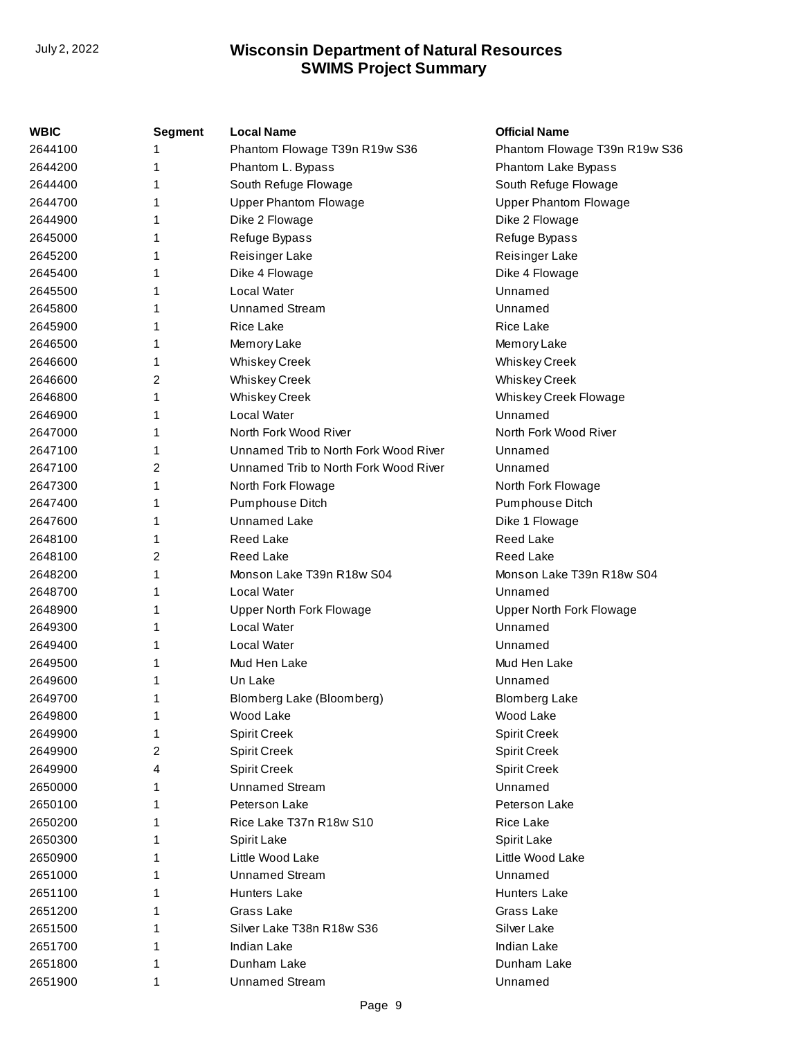| WBIC    | <b>Segment</b> | <b>Local Name</b>                     | <b>Official Name</b>            |
|---------|----------------|---------------------------------------|---------------------------------|
| 2644100 | 1              | Phantom Flowage T39n R19w S36         | Phantom Flowage T39n R19w S36   |
| 2644200 | 1              | Phantom L. Bypass                     | Phantom Lake Bypass             |
| 2644400 | 1              | South Refuge Flowage                  | South Refuge Flowage            |
| 2644700 | 1              | <b>Upper Phantom Flowage</b>          | <b>Upper Phantom Flowage</b>    |
| 2644900 | 1              | Dike 2 Flowage                        | Dike 2 Flowage                  |
| 2645000 | 1              | Refuge Bypass                         | Refuge Bypass                   |
| 2645200 | 1              | <b>Reisinger Lake</b>                 | Reisinger Lake                  |
| 2645400 | 1              | Dike 4 Flowage                        | Dike 4 Flowage                  |
| 2645500 | 1              | Local Water                           | Unnamed                         |
| 2645800 | 1              | <b>Unnamed Stream</b>                 | Unnamed                         |
| 2645900 | 1              | <b>Rice Lake</b>                      | <b>Rice Lake</b>                |
| 2646500 | 1              | Memory Lake                           | Memory Lake                     |
| 2646600 | 1              | <b>Whiskey Creek</b>                  | <b>Whiskey Creek</b>            |
| 2646600 | 2              | <b>Whiskey Creek</b>                  | <b>Whiskey Creek</b>            |
| 2646800 | 1              | <b>Whiskey Creek</b>                  | Whiskey Creek Flowage           |
| 2646900 | 1              | Local Water                           | Unnamed                         |
| 2647000 | 1              | North Fork Wood River                 | North Fork Wood River           |
| 2647100 | 1              | Unnamed Trib to North Fork Wood River | Unnamed                         |
| 2647100 | 2              | Unnamed Trib to North Fork Wood River | Unnamed                         |
| 2647300 | 1              | North Fork Flowage                    | North Fork Flowage              |
| 2647400 | 1              | Pumphouse Ditch                       | Pumphouse Ditch                 |
| 2647600 | 1              | <b>Unnamed Lake</b>                   | Dike 1 Flowage                  |
| 2648100 | 1              | <b>Reed Lake</b>                      | <b>Reed Lake</b>                |
| 2648100 | 2              | <b>Reed Lake</b>                      | Reed Lake                       |
| 2648200 | 1              | Monson Lake T39n R18w S04             | Monson Lake T39n R18w S04       |
| 2648700 | 1              | Local Water                           | Unnamed                         |
| 2648900 | 1              | <b>Upper North Fork Flowage</b>       | <b>Upper North Fork Flowage</b> |
| 2649300 | 1              | Local Water                           | Unnamed                         |
| 2649400 | 1              | Local Water                           | Unnamed                         |
| 2649500 | 1              | Mud Hen Lake                          | Mud Hen Lake                    |
| 2649600 | 1              | Un Lake                               | Unnamed                         |
| 2649700 | 1              | Blomberg Lake (Bloomberg)             | <b>Blomberg Lake</b>            |
| 2649800 | 1              | Wood Lake                             | Wood Lake                       |
| 2649900 | 1              | <b>Spirit Creek</b>                   | <b>Spirit Creek</b>             |
| 2649900 | 2              | Spirit Creek                          | <b>Spirit Creek</b>             |
| 2649900 | 4              | <b>Spirit Creek</b>                   | <b>Spirit Creek</b>             |
| 2650000 | 1              | <b>Unnamed Stream</b>                 | Unnamed                         |
| 2650100 | 1              | Peterson Lake                         | Peterson Lake                   |
| 2650200 | 1              | Rice Lake T37n R18w S10               | Rice Lake                       |
| 2650300 | 1              | Spirit Lake                           | Spirit Lake                     |
| 2650900 | 1              | Little Wood Lake                      | Little Wood Lake                |
| 2651000 | 1              | <b>Unnamed Stream</b>                 | Unnamed                         |
| 2651100 | 1              | <b>Hunters Lake</b>                   | <b>Hunters Lake</b>             |
| 2651200 | 1              | Grass Lake                            | Grass Lake                      |
| 2651500 | 1              | Silver Lake T38n R18w S36             | Silver Lake                     |
| 2651700 | 1              | Indian Lake                           | Indian Lake                     |
| 2651800 | 1              | Dunham Lake                           | Dunham Lake                     |
| 2651900 | 1              | <b>Unnamed Stream</b>                 | Unnamed                         |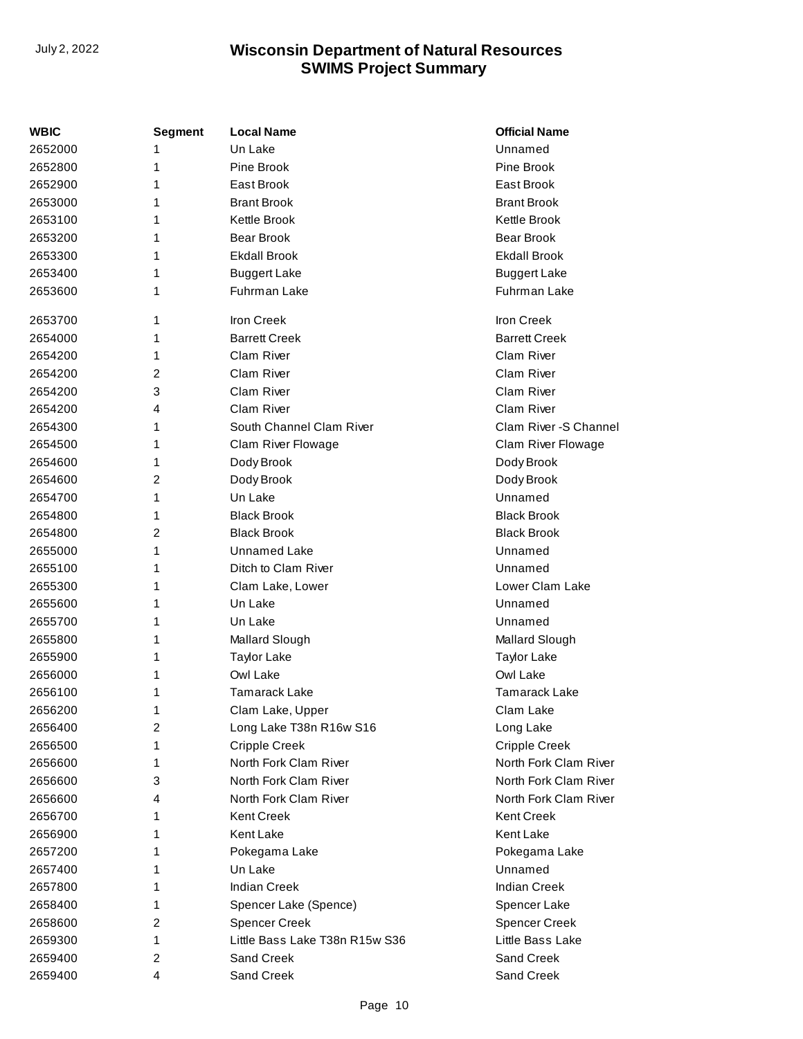| WBIC    | <b>Segment</b> | <b>Local Name</b>              | <b>Official Name</b>   |
|---------|----------------|--------------------------------|------------------------|
| 2652000 | 1              | Un Lake                        | Unnamed                |
| 2652800 | 1              | Pine Brook                     | Pine Brook             |
| 2652900 | 1              | East Brook                     | East Brook             |
| 2653000 | 1              | <b>Brant Brook</b>             | <b>Brant Brook</b>     |
| 2653100 | 1              | Kettle Brook                   | Kettle Brook           |
| 2653200 | 1              | <b>Bear Brook</b>              | <b>Bear Brook</b>      |
| 2653300 | 1              | <b>Ekdall Brook</b>            | <b>Ekdall Brook</b>    |
| 2653400 | 1              | <b>Buggert Lake</b>            | <b>Buggert Lake</b>    |
| 2653600 | 1              | Fuhrman Lake                   | Fuhrman Lake           |
| 2653700 | 1              | <b>Iron Creek</b>              | <b>Iron Creek</b>      |
| 2654000 | 1              | <b>Barrett Creek</b>           | <b>Barrett Creek</b>   |
| 2654200 | 1              | Clam River                     | Clam River             |
| 2654200 | 2              | Clam River                     | Clam River             |
| 2654200 | 3              | Clam River                     | Clam River             |
| 2654200 | 4              | Clam River                     | Clam River             |
| 2654300 | 1              | South Channel Clam River       | Clam River - S Channel |
| 2654500 | 1              | Clam River Flowage             | Clam River Flowage     |
| 2654600 | 1              | Dody Brook                     | Dody Brook             |
| 2654600 | 2              | Dody Brook                     | Dody Brook             |
| 2654700 | 1              | Un Lake                        | Unnamed                |
| 2654800 | 1              | <b>Black Brook</b>             | <b>Black Brook</b>     |
| 2654800 | $\overline{c}$ | <b>Black Brook</b>             | <b>Black Brook</b>     |
| 2655000 | 1              | Unnamed Lake                   | Unnamed                |
| 2655100 | 1              | Ditch to Clam River            | Unnamed                |
| 2655300 | 1              | Clam Lake, Lower               | Lower Clam Lake        |
| 2655600 | 1              | Un Lake                        | Unnamed                |
| 2655700 | 1              | Un Lake                        | Unnamed                |
| 2655800 | 1              | Mallard Slough                 | Mallard Slough         |
| 2655900 | 1              | <b>Taylor Lake</b>             | <b>Taylor Lake</b>     |
| 2656000 | 1              | Owl Lake                       | Owl Lake               |
| 2656100 | 1              | <b>Tamarack Lake</b>           | <b>Tamarack Lake</b>   |
| 2656200 | 1              | Clam Lake, Upper               | Clam Lake              |
| 2656400 | 2              | Long Lake T38n R16w S16        | Long Lake              |
| 2656500 | 1              | <b>Cripple Creek</b>           | <b>Cripple Creek</b>   |
| 2656600 | 1              | North Fork Clam River          | North Fork Clam River  |
| 2656600 | 3              | North Fork Clam River          | North Fork Clam River  |
| 2656600 | 4              | North Fork Clam River          | North Fork Clam River  |
| 2656700 | 1              | <b>Kent Creek</b>              | <b>Kent Creek</b>      |
| 2656900 | 1              | Kent Lake                      | Kent Lake              |
| 2657200 | 1              | Pokegama Lake                  | Pokegama Lake          |
| 2657400 | 1              | Un Lake                        | Unnamed                |
| 2657800 | 1              | <b>Indian Creek</b>            | <b>Indian Creek</b>    |
| 2658400 | 1              | Spencer Lake (Spence)          | Spencer Lake           |
| 2658600 | 2              | <b>Spencer Creek</b>           | <b>Spencer Creek</b>   |
| 2659300 | 1              | Little Bass Lake T38n R15w S36 | Little Bass Lake       |
| 2659400 | 2              | Sand Creek                     | Sand Creek             |
| 2659400 | 4              | Sand Creek                     | Sand Creek             |
|         |                |                                |                        |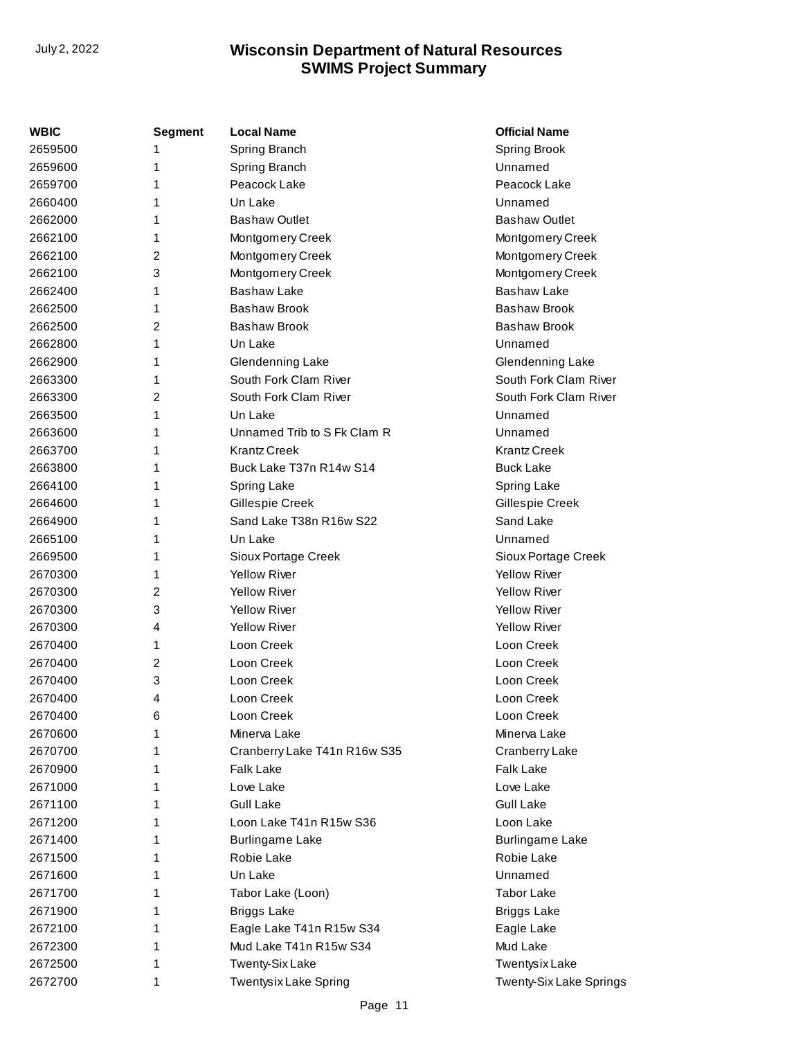| WBIC    | <b>Segment</b> | <b>Local Name</b>            | <b>Official Name</b>    |
|---------|----------------|------------------------------|-------------------------|
| 2659500 | 1              | Spring Branch                | Spring Brook            |
| 2659600 | 1              | Spring Branch                | Unnamed                 |
| 2659700 | 1              | Peacock Lake                 | Peacock Lake            |
| 2660400 | 1              | Un Lake                      | Unnamed                 |
| 2662000 | 1              | <b>Bashaw Outlet</b>         | <b>Bashaw Outlet</b>    |
| 2662100 | 1              | Montgomery Creek             | Montgomery Creek        |
| 2662100 | 2              | Montgomery Creek             | Montgomery Creek        |
| 2662100 | 3              | Montgomery Creek             | Montgomery Creek        |
| 2662400 | 1              | <b>Bashaw Lake</b>           | <b>Bashaw Lake</b>      |
| 2662500 | 1              | <b>Bashaw Brook</b>          | <b>Bashaw Brook</b>     |
| 2662500 | 2              | <b>Bashaw Brook</b>          | <b>Bashaw Brook</b>     |
| 2662800 | 1              | Un Lake                      | Unnamed                 |
| 2662900 | 1              | Glendenning Lake             | Glendenning Lake        |
| 2663300 | 1              | South Fork Clam River        | South Fork Clam River   |
| 2663300 | 2              | South Fork Clam River        | South Fork Clam River   |
| 2663500 | 1              | Un Lake                      | Unnamed                 |
| 2663600 | 1              | Unnamed Trib to S Fk Clam R  | Unnamed                 |
| 2663700 | 1              | <b>Krantz Creek</b>          | <b>Krantz Creek</b>     |
| 2663800 | 1              | Buck Lake T37n R14w S14      | <b>Buck Lake</b>        |
| 2664100 | 1              | Spring Lake                  | Spring Lake             |
| 2664600 | 1              | Gillespie Creek              | Gillespie Creek         |
| 2664900 | 1              | Sand Lake T38n R16w S22      | Sand Lake               |
| 2665100 | 1              | Un Lake                      | Unnamed                 |
| 2669500 | 1              | Sioux Portage Creek          | Sioux Portage Creek     |
| 2670300 | 1              | <b>Yellow River</b>          | <b>Yellow River</b>     |
| 2670300 | 2              | <b>Yellow River</b>          | <b>Yellow River</b>     |
| 2670300 | 3              | <b>Yellow River</b>          | <b>Yellow River</b>     |
| 2670300 | 4              | <b>Yellow River</b>          | <b>Yellow River</b>     |
| 2670400 | 1              | Loon Creek                   | Loon Creek              |
| 2670400 | 2              | Loon Creek                   | Loon Creek              |
| 2670400 | 3              | Loon Creek                   | Loon Creek              |
| 2670400 | 4              | Loon Creek                   | Loon Creek              |
| 2670400 | 6              | Loon Creek                   | Loon Creek              |
| 2670600 | 1              | Minerva Lake                 | Minerva Lake            |
| 2670700 | 1              | Cranberry Lake T41n R16w S35 | Cranberry Lake          |
| 2670900 | 1              | <b>Falk Lake</b>             | Falk Lake               |
| 2671000 | 1              | Love Lake                    | Love Lake               |
| 2671100 | 1              | <b>Gull Lake</b>             | <b>Gull Lake</b>        |
| 2671200 | 1              | Loon Lake T41n R15w S36      | Loon Lake               |
| 2671400 | 1              | <b>Burlingame Lake</b>       | <b>Burlingame Lake</b>  |
| 2671500 | 1              | Robie Lake                   | Robie Lake              |
| 2671600 | 1              | Un Lake                      | Unnamed                 |
| 2671700 | 1              | Tabor Lake (Loon)            | <b>Tabor Lake</b>       |
| 2671900 | 1              | <b>Briggs Lake</b>           | <b>Briggs Lake</b>      |
| 2672100 | 1              | Eagle Lake T41n R15w S34     | Eagle Lake              |
| 2672300 | 1              | Mud Lake T41n R15w S34       | Mud Lake                |
| 2672500 | 1              | <b>Twenty-Six Lake</b>       | <b>Twentysix Lake</b>   |
| 2672700 | 1              | Twentysix Lake Spring        | Twenty-Six Lake Springs |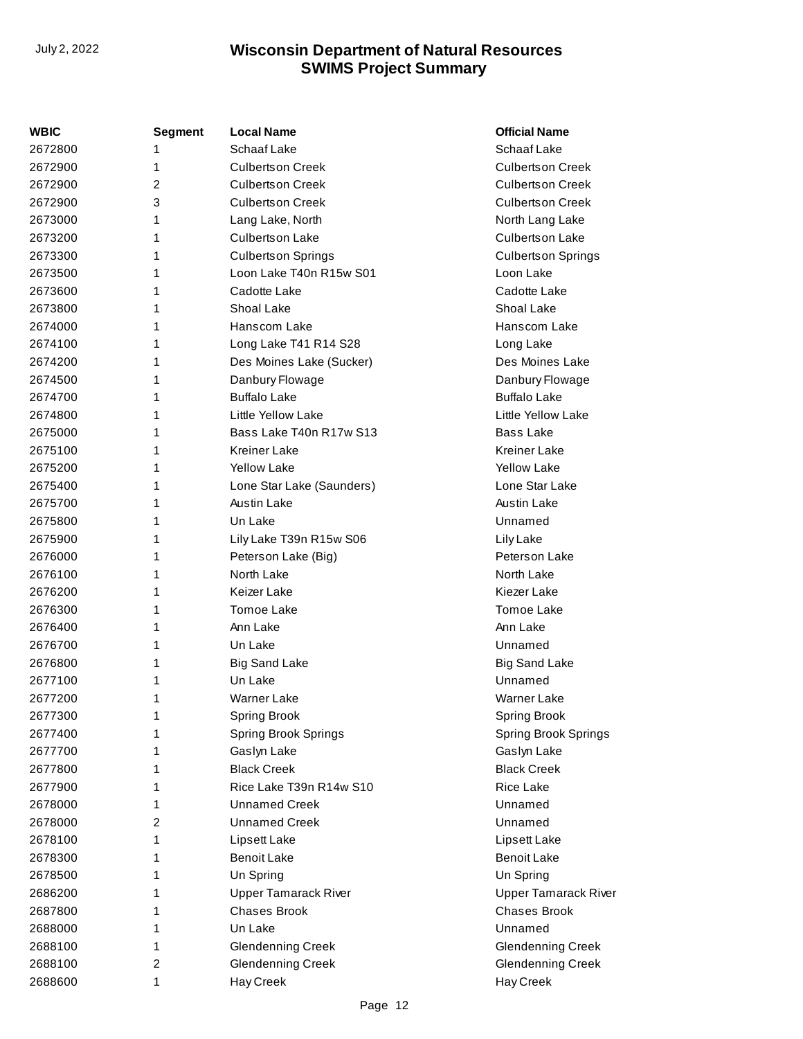| WBIC    | <b>Segment</b> | <b>Local Name</b>           | <b>Official Name</b>        |
|---------|----------------|-----------------------------|-----------------------------|
| 2672800 | 1              | Schaaf Lake                 | Schaaf Lake                 |
| 2672900 | 1              | <b>Culbertson Creek</b>     | <b>Culbertson Creek</b>     |
| 2672900 | $\overline{2}$ | <b>Culbertson Creek</b>     | <b>Culbertson Creek</b>     |
| 2672900 | 3              | <b>Culbertson Creek</b>     | <b>Culbertson Creek</b>     |
| 2673000 | 1              | Lang Lake, North            | North Lang Lake             |
| 2673200 | 1              | <b>Culbertson Lake</b>      | <b>Culbertson Lake</b>      |
| 2673300 | 1              | <b>Culbertson Springs</b>   | <b>Culbertson Springs</b>   |
| 2673500 | 1              | Loon Lake T40n R15w S01     | Loon Lake                   |
| 2673600 | 1              | Cadotte Lake                | Cadotte Lake                |
| 2673800 | 1              | Shoal Lake                  | Shoal Lake                  |
| 2674000 | 1              | Hanscom Lake                | Hanscom Lake                |
| 2674100 | 1              | Long Lake T41 R14 S28       | Long Lake                   |
| 2674200 | 1              | Des Moines Lake (Sucker)    | Des Moines Lake             |
| 2674500 | 1              | Danbury Flowage             | Danbury Flowage             |
| 2674700 | 1              | <b>Buffalo Lake</b>         | <b>Buffalo Lake</b>         |
| 2674800 | 1              | Little Yellow Lake          | Little Yellow Lake          |
| 2675000 | 1              | Bass Lake T40n R17w S13     | <b>Bass Lake</b>            |
| 2675100 | 1              | <b>Kreiner Lake</b>         | <b>Kreiner Lake</b>         |
| 2675200 | 1              | <b>Yellow Lake</b>          | <b>Yellow Lake</b>          |
| 2675400 | 1              | Lone Star Lake (Saunders)   | Lone Star Lake              |
| 2675700 | 1              | Austin Lake                 | Austin Lake                 |
| 2675800 | 1              | Un Lake                     | Unnamed                     |
| 2675900 | 1              | Lily Lake T39n R15w S06     | Lily Lake                   |
| 2676000 | 1              | Peterson Lake (Big)         | Peterson Lake               |
| 2676100 | 1              | North Lake                  | North Lake                  |
| 2676200 | 1              | Keizer Lake                 | Kiezer Lake                 |
| 2676300 | 1              | <b>Tomoe Lake</b>           | <b>Tomoe Lake</b>           |
| 2676400 | 1              | Ann Lake                    | Ann Lake                    |
| 2676700 | 1              | Un Lake                     | Unnamed                     |
| 2676800 | 1              | <b>Big Sand Lake</b>        | <b>Big Sand Lake</b>        |
| 2677100 | 1              | Un Lake                     | Unnamed                     |
| 2677200 | 1              | <b>Warner Lake</b>          | <b>Warner Lake</b>          |
| 2677300 | 1              | Spring Brook                | Spring Brook                |
| 2677400 | 1              | <b>Spring Brook Springs</b> | <b>Spring Brook Springs</b> |
| 2677700 | 1              | Gaslyn Lake                 | Gaslyn Lake                 |
| 2677800 | 1              | <b>Black Creek</b>          | <b>Black Creek</b>          |
| 2677900 | 1              | Rice Lake T39n R14w S10     | <b>Rice Lake</b>            |
| 2678000 | 1              | <b>Unnamed Creek</b>        | Unnamed                     |
| 2678000 | $\overline{2}$ | <b>Unnamed Creek</b>        | Unnamed                     |
| 2678100 | 1              | Lipsett Lake                | Lipsett Lake                |
| 2678300 | 1              | <b>Benoit Lake</b>          | <b>Benoit Lake</b>          |
| 2678500 | 1              | Un Spring                   | Un Spring                   |
| 2686200 | 1              | <b>Upper Tamarack River</b> | <b>Upper Tamarack River</b> |
| 2687800 | 1              | <b>Chases Brook</b>         | <b>Chases Brook</b>         |
| 2688000 | 1              | Un Lake                     | Unnamed                     |
| 2688100 | 1              | <b>Glendenning Creek</b>    | <b>Glendenning Creek</b>    |
| 2688100 | 2              | <b>Glendenning Creek</b>    | <b>Glendenning Creek</b>    |
| 2688600 | 1              | Hay Creek                   | Hay Creek                   |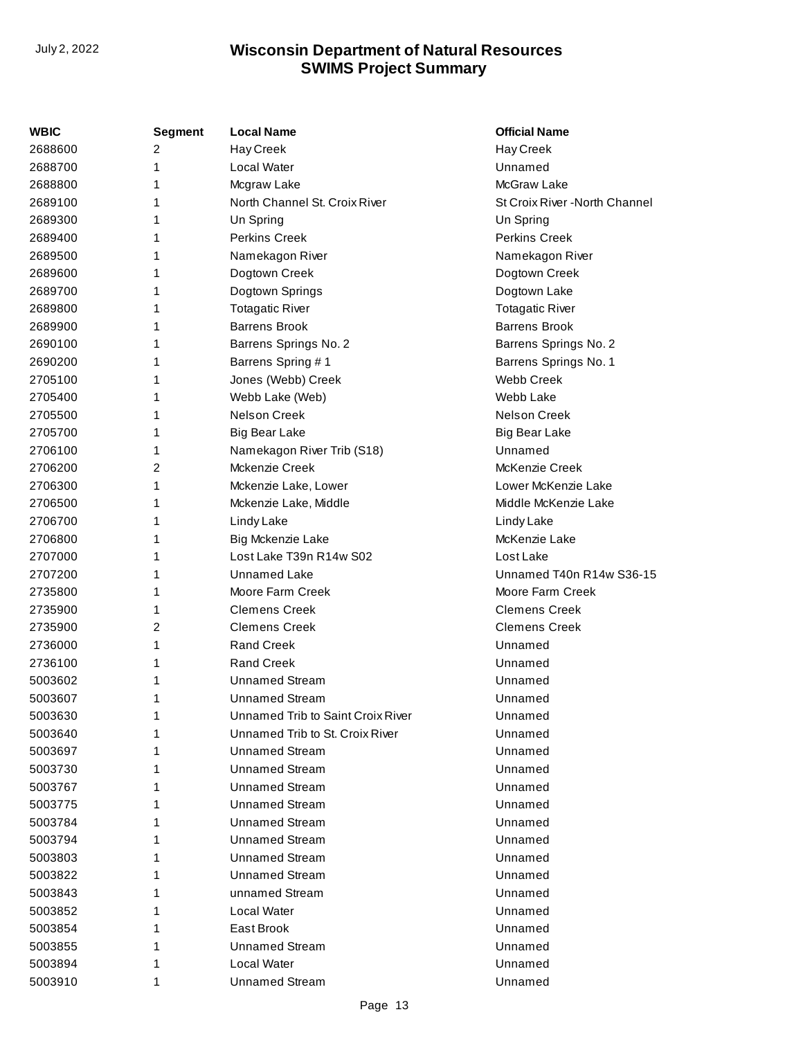| WBIC    | <b>Segment</b> | <b>Local Name</b>                 | <b>Official Name</b>           |
|---------|----------------|-----------------------------------|--------------------------------|
| 2688600 | 2              | Hay Creek                         | Hay Creek                      |
| 2688700 | 1              | Local Water                       | Unnamed                        |
| 2688800 |                | Mcgraw Lake                       | McGraw Lake                    |
| 2689100 | 1              | North Channel St. Croix River     | St Croix River - North Channel |
| 2689300 |                | Un Spring                         | Un Spring                      |
| 2689400 |                | <b>Perkins Creek</b>              | Perkins Creek                  |
| 2689500 |                | Namekagon River                   | Namekagon River                |
| 2689600 | 1              | Dogtown Creek                     | Dogtown Creek                  |
| 2689700 | 1              | Dogtown Springs                   | Dogtown Lake                   |
| 2689800 |                | <b>Totagatic River</b>            | <b>Totagatic River</b>         |
| 2689900 |                | <b>Barrens Brook</b>              | <b>Barrens Brook</b>           |
| 2690100 | 1              | Barrens Springs No. 2             | Barrens Springs No. 2          |
| 2690200 | 1              | Barrens Spring #1                 | Barrens Springs No. 1          |
| 2705100 |                | Jones (Webb) Creek                | <b>Webb Creek</b>              |
| 2705400 |                | Webb Lake (Web)                   | Webb Lake                      |
| 2705500 | 1              | <b>Nelson Creek</b>               | Nelson Creek                   |
| 2705700 | 1              | <b>Big Bear Lake</b>              | <b>Big Bear Lake</b>           |
| 2706100 |                | Namekagon River Trib (S18)        | Unnamed                        |
| 2706200 | 2              | Mckenzie Creek                    | McKenzie Creek                 |
| 2706300 | 1              | Mckenzie Lake, Lower              | Lower McKenzie Lake            |
| 2706500 | 1              | Mckenzie Lake, Middle             | Middle McKenzie Lake           |
| 2706700 | 1              | Lindy Lake                        | Lindy Lake                     |
| 2706800 |                | Big Mckenzie Lake                 | McKenzie Lake                  |
| 2707000 | 1              | Lost Lake T39n R14w S02           | Lost Lake                      |
| 2707200 | 1              | <b>Unnamed Lake</b>               | Unnamed T40n R14w S36-15       |
| 2735800 | 1              | Moore Farm Creek                  | Moore Farm Creek               |
| 2735900 |                | <b>Clemens Creek</b>              | <b>Clemens Creek</b>           |
| 2735900 | 2              | <b>Clemens Creek</b>              | <b>Clemens Creek</b>           |
| 2736000 | 1              | <b>Rand Creek</b>                 | Unnamed                        |
| 2736100 |                | <b>Rand Creek</b>                 | Unnamed                        |
| 5003602 |                | <b>Unnamed Stream</b>             | Unnamed                        |
| 5003607 | 1              | <b>Unnamed Stream</b>             | Unnamed                        |
| 5003630 | 1              | Unnamed Trib to Saint Croix River | Unnamed                        |
| 5003640 |                | Unnamed Trib to St. Croix River   | Unnamed                        |
| 5003697 |                | Unnamed Stream                    | Unnamed                        |
| 5003730 |                | <b>Unnamed Stream</b>             | Unnamed                        |
| 5003767 |                | <b>Unnamed Stream</b>             | Unnamed                        |
| 5003775 |                | <b>Unnamed Stream</b>             | Unnamed                        |
| 5003784 |                | <b>Unnamed Stream</b>             | Unnamed                        |
| 5003794 |                | <b>Unnamed Stream</b>             | Unnamed                        |
| 5003803 |                | <b>Unnamed Stream</b>             | Unnamed                        |
| 5003822 |                | <b>Unnamed Stream</b>             | Unnamed                        |
| 5003843 |                | unnamed Stream                    | Unnamed                        |
| 5003852 |                | Local Water                       | Unnamed                        |
| 5003854 |                | East Brook                        | Unnamed                        |
| 5003855 |                | <b>Unnamed Stream</b>             | Unnamed                        |
| 5003894 | 1              | Local Water                       | Unnamed                        |
| 5003910 | 1              | <b>Unnamed Stream</b>             | Unnamed                        |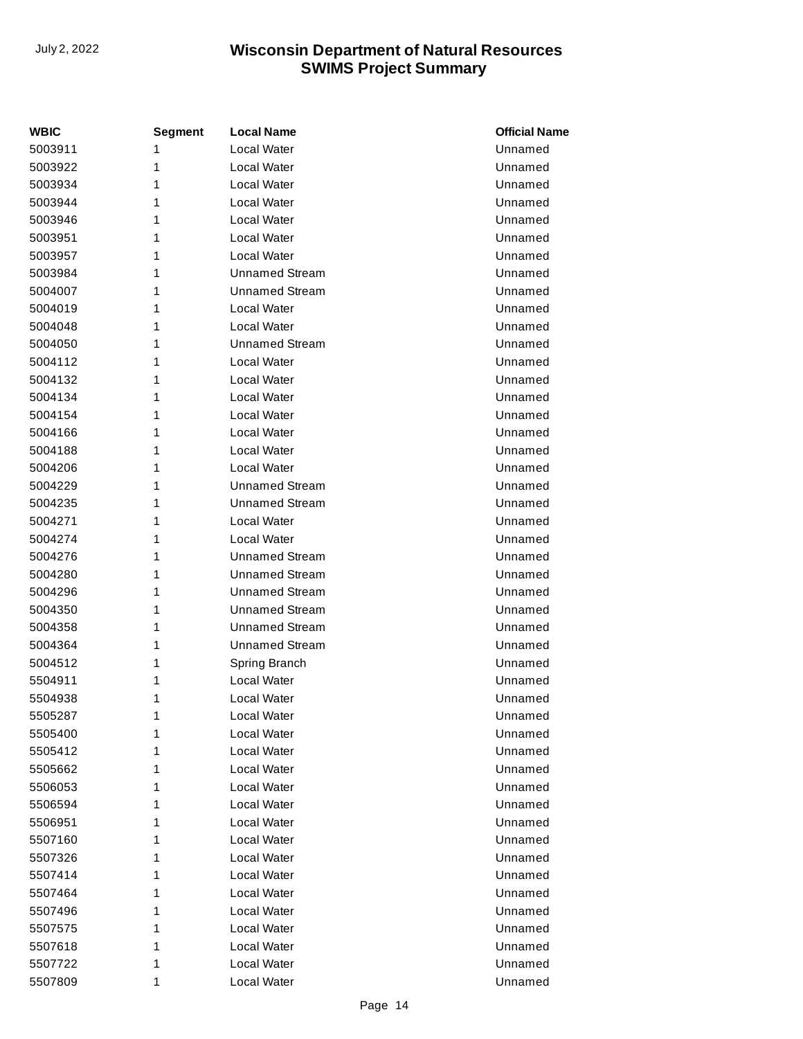| WBIC    | <b>Segment</b> | <b>Local Name</b>     | <b>Official Name</b> |
|---------|----------------|-----------------------|----------------------|
| 5003911 | 1              | Local Water           | Unnamed              |
| 5003922 | 1              | Local Water           | Unnamed              |
| 5003934 | 1              | Local Water           | Unnamed              |
| 5003944 | 1              | Local Water           | Unnamed              |
| 5003946 | 1              | Local Water           | Unnamed              |
| 5003951 | 1              | Local Water           | Unnamed              |
| 5003957 | 1              | Local Water           | Unnamed              |
| 5003984 | 1              | <b>Unnamed Stream</b> | Unnamed              |
| 5004007 | 1              | <b>Unnamed Stream</b> | Unnamed              |
| 5004019 | 1              | Local Water           | Unnamed              |
| 5004048 | 1              | Local Water           | Unnamed              |
| 5004050 | 1              | <b>Unnamed Stream</b> | Unnamed              |
| 5004112 | 1              | Local Water           | Unnamed              |
| 5004132 | 1              | Local Water           | Unnamed              |
| 5004134 | 1              | Local Water           | Unnamed              |
| 5004154 | 1              | Local Water           | Unnamed              |
| 5004166 | 1              | Local Water           | Unnamed              |
| 5004188 | 1              | Local Water           | Unnamed              |
| 5004206 | 1              | Local Water           | Unnamed              |
| 5004229 | 1              | <b>Unnamed Stream</b> | Unnamed              |
| 5004235 | 1              | <b>Unnamed Stream</b> | Unnamed              |
| 5004271 | 1              | Local Water           | Unnamed              |
| 5004274 | 1              | Local Water           | Unnamed              |
| 5004276 | 1              | <b>Unnamed Stream</b> | Unnamed              |
| 5004280 | 1              | <b>Unnamed Stream</b> | Unnamed              |
| 5004296 | 1              | <b>Unnamed Stream</b> | Unnamed              |
| 5004350 | 1              | <b>Unnamed Stream</b> | Unnamed              |
| 5004358 | 1              | <b>Unnamed Stream</b> | Unnamed              |
| 5004364 | 1              | <b>Unnamed Stream</b> | Unnamed              |
| 5004512 | 1              | Spring Branch         | Unnamed              |
| 5504911 | 1              | Local Water           | Unnamed              |
| 5504938 | 1              | Local Water           | Unnamed              |
| 5505287 | 1              | Local Water           | Unnamed              |
| 5505400 | 1              | Local Water           | Unnamed              |
| 5505412 | 1              | Local Water           | Unnamed              |
| 5505662 | 1              | Local Water           | Unnamed              |
| 5506053 | 1              | Local Water           | Unnamed              |
| 5506594 | 1              | Local Water           | Unnamed              |
| 5506951 | 1              | Local Water           | Unnamed              |
| 5507160 | 1              | Local Water           | Unnamed              |
| 5507326 | 1              | Local Water           | Unnamed              |
| 5507414 | 1              | Local Water           | Unnamed              |
| 5507464 | 1              | Local Water           | Unnamed              |
| 5507496 | 1              | Local Water           | Unnamed              |
| 5507575 | 1              | Local Water           | Unnamed              |
| 5507618 | 1              | Local Water           | Unnamed              |
| 5507722 | 1              | Local Water           | Unnamed              |
| 5507809 | 1              | Local Water           | Unnamed              |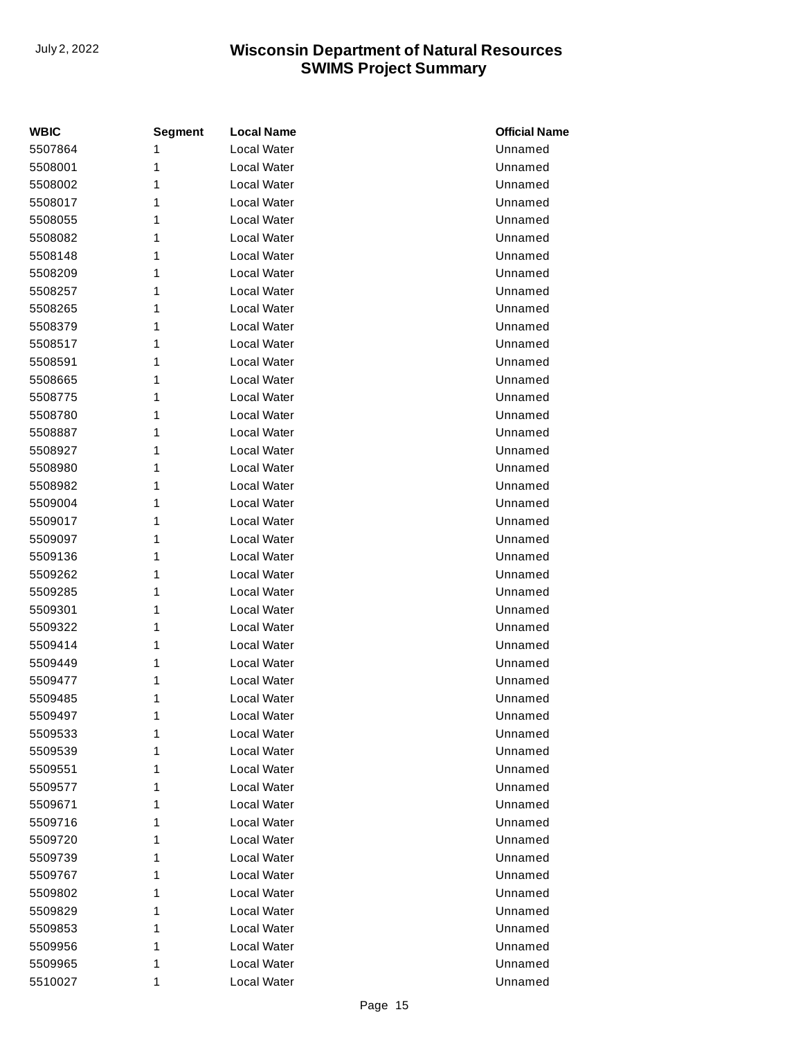| <b>WBIC</b> | <b>Segment</b> | <b>Local Name</b>  | <b>Official Name</b> |
|-------------|----------------|--------------------|----------------------|
| 5507864     | 1              | <b>Local Water</b> | Unnamed              |
| 5508001     | 1              | Local Water        | Unnamed              |
| 5508002     | 1              | Local Water        | Unnamed              |
| 5508017     | 1              | Local Water        | Unnamed              |
| 5508055     | 1              | Local Water        | Unnamed              |
| 5508082     | 1              | <b>Local Water</b> | Unnamed              |
| 5508148     | 1              | Local Water        | Unnamed              |
| 5508209     | 1              | Local Water        | Unnamed              |
| 5508257     | 1              | Local Water        | Unnamed              |
| 5508265     | 1              | Local Water        | Unnamed              |
| 5508379     | 1              | Local Water        | Unnamed              |
| 5508517     | 1              | Local Water        | Unnamed              |
| 5508591     | 1              | Local Water        | Unnamed              |
| 5508665     | 1              | <b>Local Water</b> | Unnamed              |
| 5508775     | 1              | Local Water        | Unnamed              |
| 5508780     | 1              | Local Water        | Unnamed              |
| 5508887     | 1              | Local Water        | Unnamed              |
| 5508927     | 1              | Local Water        | Unnamed              |
| 5508980     | 1              | Local Water        | Unnamed              |
| 5508982     | 1              | Local Water        | Unnamed              |
| 5509004     | 1              | Local Water        | Unnamed              |
| 5509017     | 1              | <b>Local Water</b> | Unnamed              |
| 5509097     | 1              | Local Water        | Unnamed              |
| 5509136     | 1              | Local Water        | Unnamed              |
| 5509262     | 1              | Local Water        | Unnamed              |
| 5509285     | 1              | Local Water        | Unnamed              |
| 5509301     | 1              | Local Water        | Unnamed              |
| 5509322     | 1              | Local Water        | Unnamed              |
| 5509414     | 1              | Local Water        | Unnamed              |
| 5509449     | 1              | Local Water        | Unnamed              |
| 5509477     | 1              | Local Water        | Unnamed              |
| 5509485     | 1              | Local Water        | Unnamed              |
| 5509497     | 1              | Local Water        | Unnamed              |
| 5509533     | 1              | Local Water        | Unnamed              |
| 5509539     | 1              | Local Water        | Unnamed              |
| 5509551     | 1              | Local Water        | Unnamed              |
| 5509577     | 1              | Local Water        | Unnamed              |
| 5509671     | 1              | Local Water        | Unnamed              |
| 5509716     | 1              | Local Water        | Unnamed              |
| 5509720     | 1              | Local Water        | Unnamed              |
| 5509739     | 1              | Local Water        | Unnamed              |
| 5509767     | 1              | Local Water        | Unnamed              |
| 5509802     | 1              | Local Water        | Unnamed              |
| 5509829     | 1              | Local Water        | Unnamed              |
| 5509853     | 1              | Local Water        | Unnamed              |
| 5509956     | 1              | Local Water        | Unnamed              |
| 5509965     | 1              | Local Water        | Unnamed              |
| 5510027     | 1              | Local Water        | Unnamed              |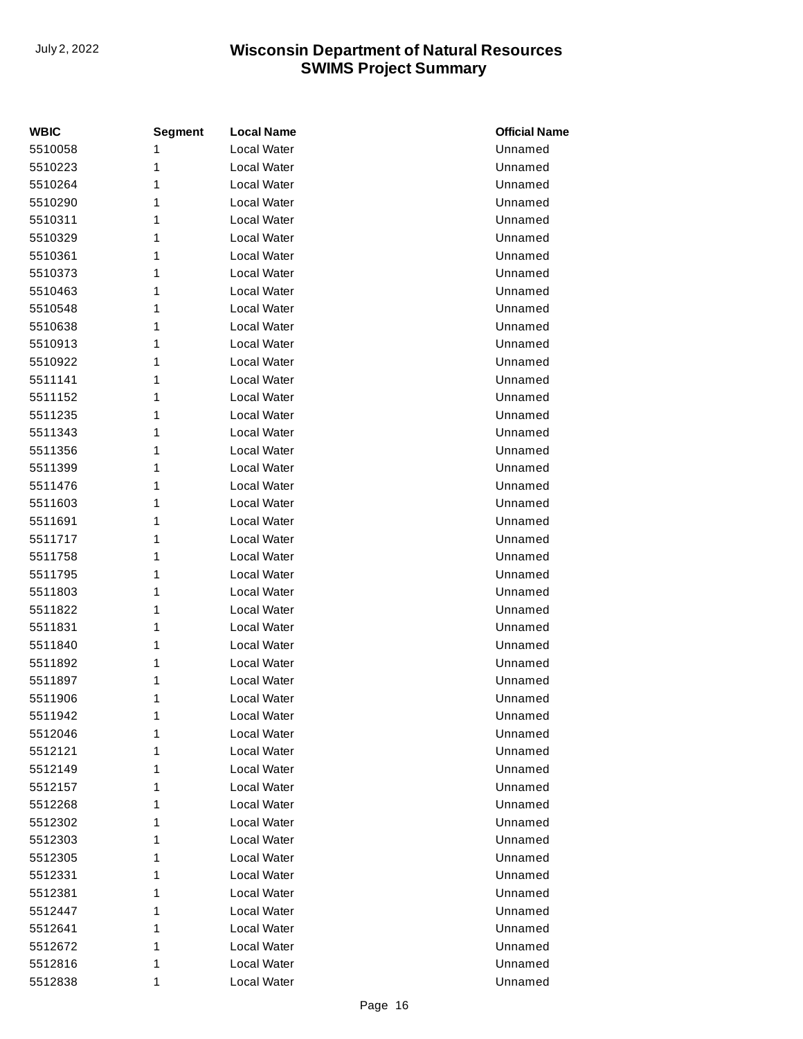| <b>WBIC</b> | <b>Segment</b> | <b>Local Name</b>  | <b>Official Name</b> |
|-------------|----------------|--------------------|----------------------|
| 5510058     | 1              | Local Water        | Unnamed              |
| 5510223     | 1              | Local Water        | Unnamed              |
| 5510264     | 1              | Local Water        | Unnamed              |
| 5510290     | 1              | Local Water        | Unnamed              |
| 5510311     | 1              | Local Water        | Unnamed              |
| 5510329     | 1              | Local Water        | Unnamed              |
| 5510361     | 1              | Local Water        | Unnamed              |
| 5510373     | 1              | Local Water        | Unnamed              |
| 5510463     | 1              | Local Water        | Unnamed              |
| 5510548     | 1              | Local Water        | Unnamed              |
| 5510638     | 1              | Local Water        | Unnamed              |
| 5510913     | 1              | Local Water        | Unnamed              |
| 5510922     | 1              | Local Water        | Unnamed              |
| 5511141     | 1              | Local Water        | Unnamed              |
| 5511152     | 1              | Local Water        | Unnamed              |
| 5511235     | 1              | <b>Local Water</b> | Unnamed              |
| 5511343     | 1              | Local Water        | Unnamed              |
| 5511356     | 1              | Local Water        | Unnamed              |
| 5511399     | 1              | Local Water        | Unnamed              |
| 5511476     | 1              | Local Water        | Unnamed              |
| 5511603     | 1              | Local Water        | Unnamed              |
| 5511691     | 1              | Local Water        | Unnamed              |
| 5511717     | 1              | Local Water        | Unnamed              |
| 5511758     | 1              | Local Water        | Unnamed              |
| 5511795     | 1              | Local Water        | Unnamed              |
| 5511803     | 1              | Local Water        | Unnamed              |
| 5511822     | 1              | Local Water        | Unnamed              |
| 5511831     | 1              | Local Water        | Unnamed              |
| 5511840     | 1              | Local Water        | Unnamed              |
| 5511892     | 1              | Local Water        | Unnamed              |
| 5511897     | 1              | Local Water        | Unnamed              |
| 5511906     | 1              | Local Water        | Unnamed              |
| 5511942     | 1              | Local Water        | Unnamed              |
| 5512046     | 1              | Local Water        | Unnamed              |
| 5512121     | 1              | Local Water        | Unnamed              |
| 5512149     | 1              | Local Water        | Unnamed              |
| 5512157     | 1              | Local Water        | Unnamed              |
| 5512268     | 1              | Local Water        | Unnamed              |
| 5512302     | 1              | Local Water        | Unnamed              |
| 5512303     | 1              | Local Water        | Unnamed              |
| 5512305     | 1              | Local Water        | Unnamed              |
| 5512331     | 1              | Local Water        | Unnamed              |
| 5512381     | 1              | Local Water        | Unnamed              |
| 5512447     | 1              | Local Water        | Unnamed              |
| 5512641     | 1              | Local Water        | Unnamed              |
| 5512672     | 1              | Local Water        | Unnamed              |
| 5512816     | 1              | Local Water        | Unnamed              |
| 5512838     | 1              | Local Water        | Unnamed              |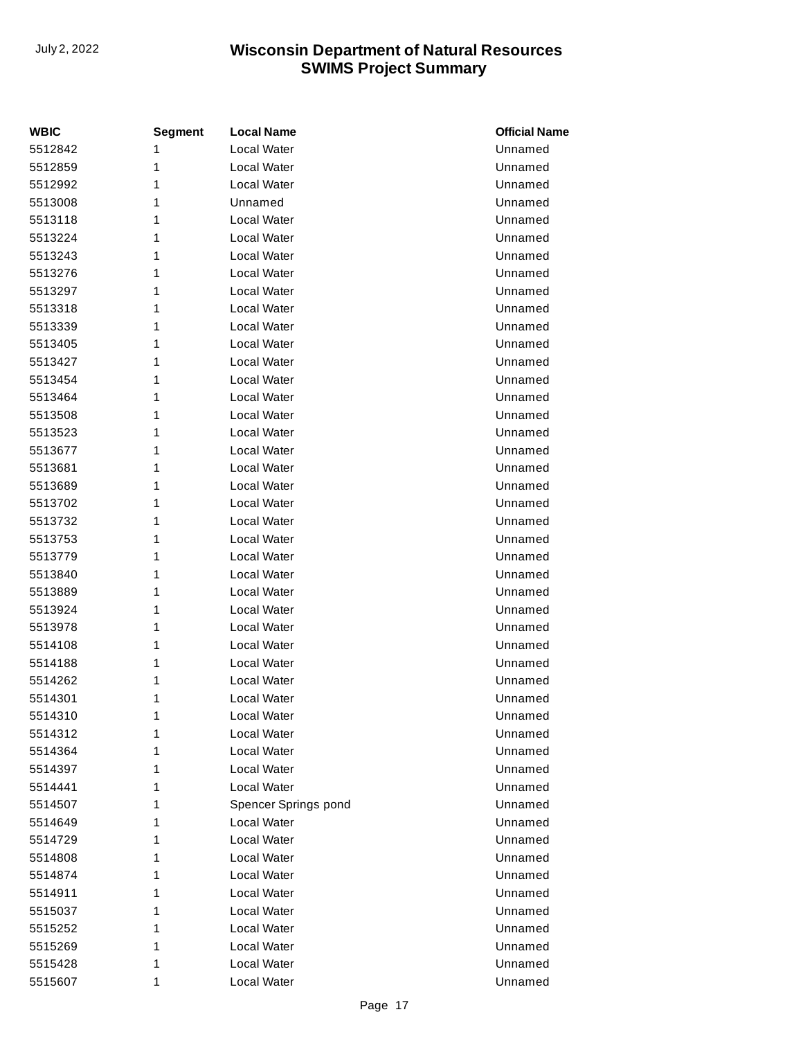| <b>WBIC</b> | <b>Segment</b> | <b>Local Name</b>    | <b>Official Name</b> |
|-------------|----------------|----------------------|----------------------|
| 5512842     | 1              | <b>Local Water</b>   | Unnamed              |
| 5512859     | 1              | Local Water          | Unnamed              |
| 5512992     | 1              | Local Water          | Unnamed              |
| 5513008     | 1              | Unnamed              | Unnamed              |
| 5513118     | 1              | Local Water          | Unnamed              |
| 5513224     | 1              | Local Water          | Unnamed              |
| 5513243     | 1              | Local Water          | Unnamed              |
| 5513276     | 1              | Local Water          | Unnamed              |
| 5513297     | 1              | Local Water          | Unnamed              |
| 5513318     | 1              | Local Water          | Unnamed              |
| 5513339     | 1              | Local Water          | Unnamed              |
| 5513405     | 1              | Local Water          | Unnamed              |
| 5513427     | 1              | Local Water          | Unnamed              |
| 5513454     | 1              | Local Water          | Unnamed              |
| 5513464     | 1              | Local Water          | Unnamed              |
| 5513508     | 1              | Local Water          | Unnamed              |
| 5513523     | 1              | Local Water          | Unnamed              |
| 5513677     | 1              | Local Water          | Unnamed              |
| 5513681     | 1              | Local Water          | Unnamed              |
| 5513689     | 1              | Local Water          | Unnamed              |
| 5513702     | 1              | Local Water          | Unnamed              |
| 5513732     | 1              | Local Water          | Unnamed              |
| 5513753     | 1              | Local Water          | Unnamed              |
| 5513779     | 1              | Local Water          | Unnamed              |
| 5513840     | 1              | Local Water          | Unnamed              |
| 5513889     | 1              | Local Water          | Unnamed              |
| 5513924     | 1              | Local Water          | Unnamed              |
| 5513978     | 1              | Local Water          | Unnamed              |
| 5514108     | 1              | Local Water          | Unnamed              |
| 5514188     | 1              | Local Water          | Unnamed              |
| 5514262     | 1              | Local Water          | Unnamed              |
| 5514301     | 1              | Local Water          | Unnamed              |
| 5514310     | 1              | <b>Local Water</b>   | Unnamed              |
| 5514312     | 1              | Local Water          | Unnamed              |
| 5514364     | 1              | Local Water          | Unnamed              |
| 5514397     | 1              | Local Water          | Unnamed              |
| 5514441     | 1              | Local Water          | Unnamed              |
| 5514507     | 1              | Spencer Springs pond | Unnamed              |
| 5514649     | 1              | Local Water          | Unnamed              |
| 5514729     | 1              | Local Water          | Unnamed              |
| 5514808     | 1              | Local Water          | Unnamed              |
| 5514874     | 1              | Local Water          | Unnamed              |
| 5514911     | 1              | Local Water          | Unnamed              |
| 5515037     | 1              | Local Water          | Unnamed              |
| 5515252     | 1              | Local Water          | Unnamed              |
| 5515269     | 1              | Local Water          | Unnamed              |
| 5515428     | 1              | Local Water          | Unnamed              |
| 5515607     | 1              | Local Water          | Unnamed              |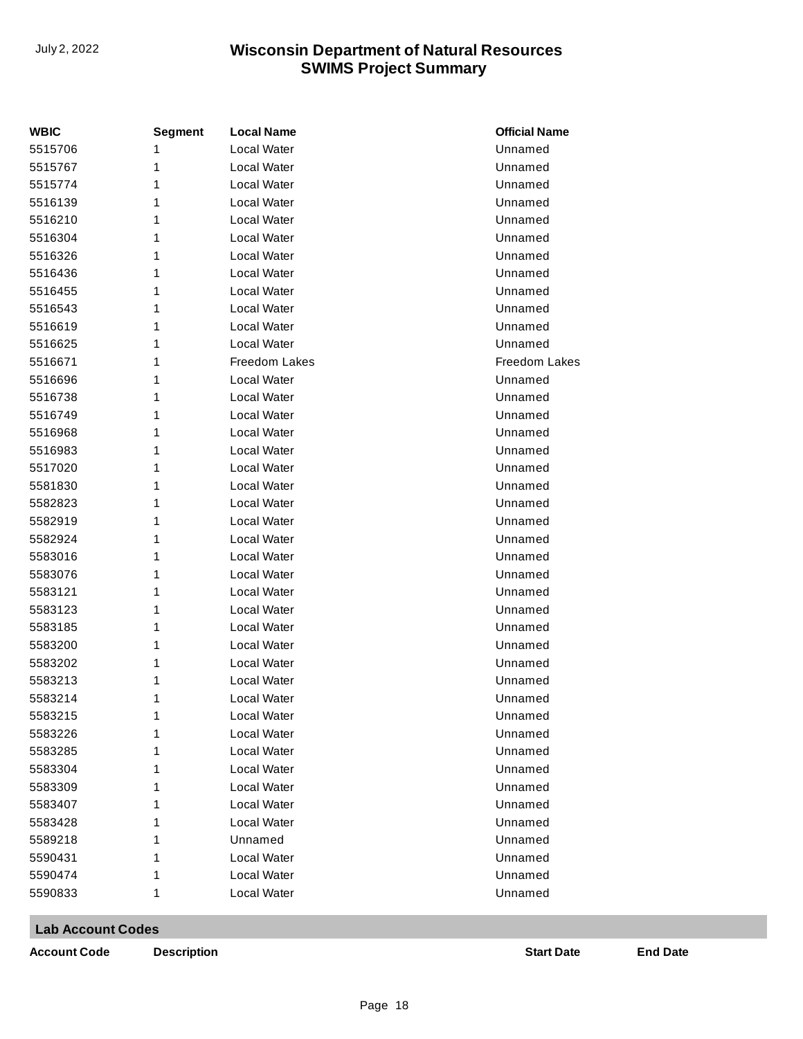| WBIC    | <b>Segment</b> | <b>Local Name</b>  | <b>Official Name</b> |
|---------|----------------|--------------------|----------------------|
| 5515706 |                | Local Water        | Unnamed              |
| 5515767 | 1              | Local Water        | Unnamed              |
| 5515774 | 1              | Local Water        | Unnamed              |
| 5516139 | 1              | Local Water        | Unnamed              |
| 5516210 | 1              | Local Water        | Unnamed              |
| 5516304 | 1              | Local Water        | Unnamed              |
| 5516326 | 1              | Local Water        | Unnamed              |
| 5516436 | 1              | Local Water        | Unnamed              |
| 5516455 | 1              | Local Water        | Unnamed              |
| 5516543 | 1              | Local Water        | Unnamed              |
| 5516619 | 1              | Local Water        | Unnamed              |
| 5516625 | 1              | Local Water        | Unnamed              |
| 5516671 | 1              | Freedom Lakes      | Freedom Lakes        |
| 5516696 | 1              | Local Water        | Unnamed              |
| 5516738 | 1              | Local Water        | Unnamed              |
| 5516749 | 1              | Local Water        | Unnamed              |
| 5516968 | 1              | Local Water        | Unnamed              |
| 5516983 | 1              | Local Water        | Unnamed              |
| 5517020 | 1              | Local Water        | Unnamed              |
| 5581830 | 1              | Local Water        | Unnamed              |
| 5582823 | 1              | Local Water        | Unnamed              |
| 5582919 | 1              | Local Water        | Unnamed              |
| 5582924 | 1              | Local Water        | Unnamed              |
| 5583016 | 1              | Local Water        | Unnamed              |
| 5583076 | 1              | Local Water        | Unnamed              |
| 5583121 | 1              | Local Water        | Unnamed              |
| 5583123 | 1              | Local Water        | Unnamed              |
| 5583185 | 1              | Local Water        | Unnamed              |
| 5583200 | 1              | Local Water        | Unnamed              |
| 5583202 | 1              | Local Water        | Unnamed              |
| 5583213 | 1              | Local Water        | Unnamed              |
| 5583214 | 1              | Local Water        | Unnamed              |
| 5583215 | 1              | <b>Local Water</b> | Unnamed              |
| 5583226 | 1              | Local Water        | Unnamed              |
| 5583285 | 1              | Local Water        | Unnamed              |
| 5583304 | 1              | Local Water        | Unnamed              |
| 5583309 | 1              | Local Water        | Unnamed              |
| 5583407 | 1              | Local Water        | Unnamed              |
| 5583428 | 1              | Local Water        | Unnamed              |
| 5589218 | 1              | Unnamed            | Unnamed              |
| 5590431 | 1              | Local Water        | Unnamed              |
| 5590474 | 1              | Local Water        | Unnamed              |
| 5590833 | 1              | Local Water        | Unnamed              |

**Lab Account Codes**

**Account Code Description Start Date End Date**